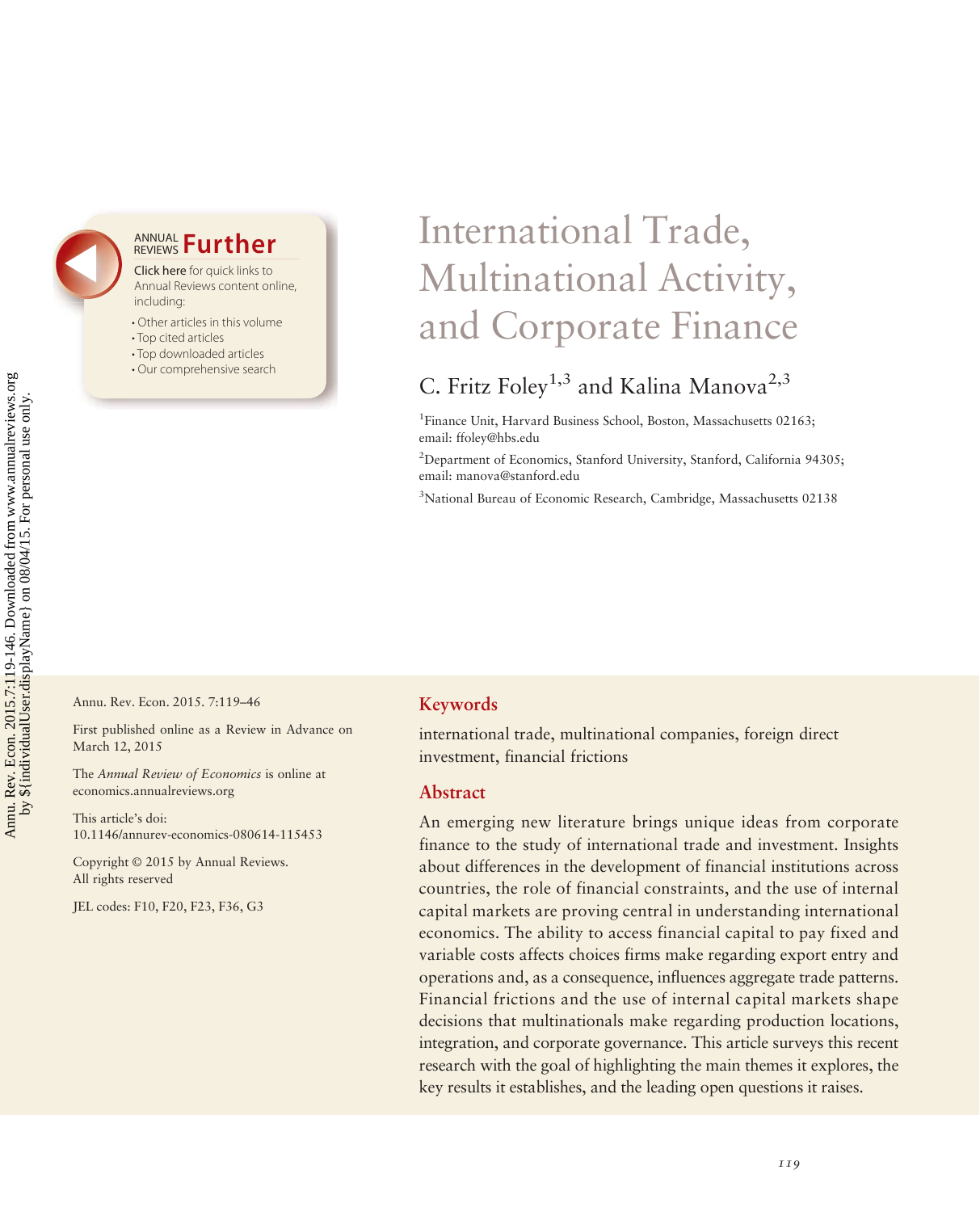## **ANNUAL Further**

Click here for quick links to Annual Reviews content online, including:

- Other articles in this volume
- Top cited articles
- Top downloaded articles
- Our comprehensive search

# International Trade, Multinational Activity, and Corporate Finance

## C. Fritz Foley<sup>1,3</sup> and Kalina Manova<sup>2,3</sup>

<sup>1</sup>Finance Unit, Harvard Business School, Boston, Massachusetts 02163; email: [ffoley@hbs.edu](mailto:ffoley@hbs.edu)

<sup>2</sup>Department of Economics, Stanford University, Stanford, California 94305; email: [manova@stanford.edu](mailto:manova@stanford.edu)

3 National Bureau of Economic Research, Cambridge, Massachusetts 02138

Annu. Rev. Econ. 2015. 7:119–46

First published online as a Review in Advance on March 12, 2015

The Annual Review of Economics is online at <economics.annualreviews.org>

This article's doi: 10.1146/annurev-economics-080614-115453

Copyright © 2015 by Annual Reviews. All rights reserved

JEL codes: F10, F20, F23, F36, G3

#### Keywords

international trade, multinational companies, foreign direct investment, financial frictions

#### Abstract

An emerging new literature brings unique ideas from corporate finance to the study of international trade and investment. Insights about differences in the development of financial institutions across countries, the role of financial constraints, and the use of internal capital markets are proving central in understanding international economics. The ability to access financial capital to pay fixed and variable costs affects choices firms make regarding export entry and operations and, as a consequence, influences aggregate trade patterns. Financial frictions and the use of internal capital markets shape decisions that multinationals make regarding production locations, integration, and corporate governance. This article surveys this recent research with the goal of highlighting the main themes it explores, the key results it establishes, and the leading open questions it raises.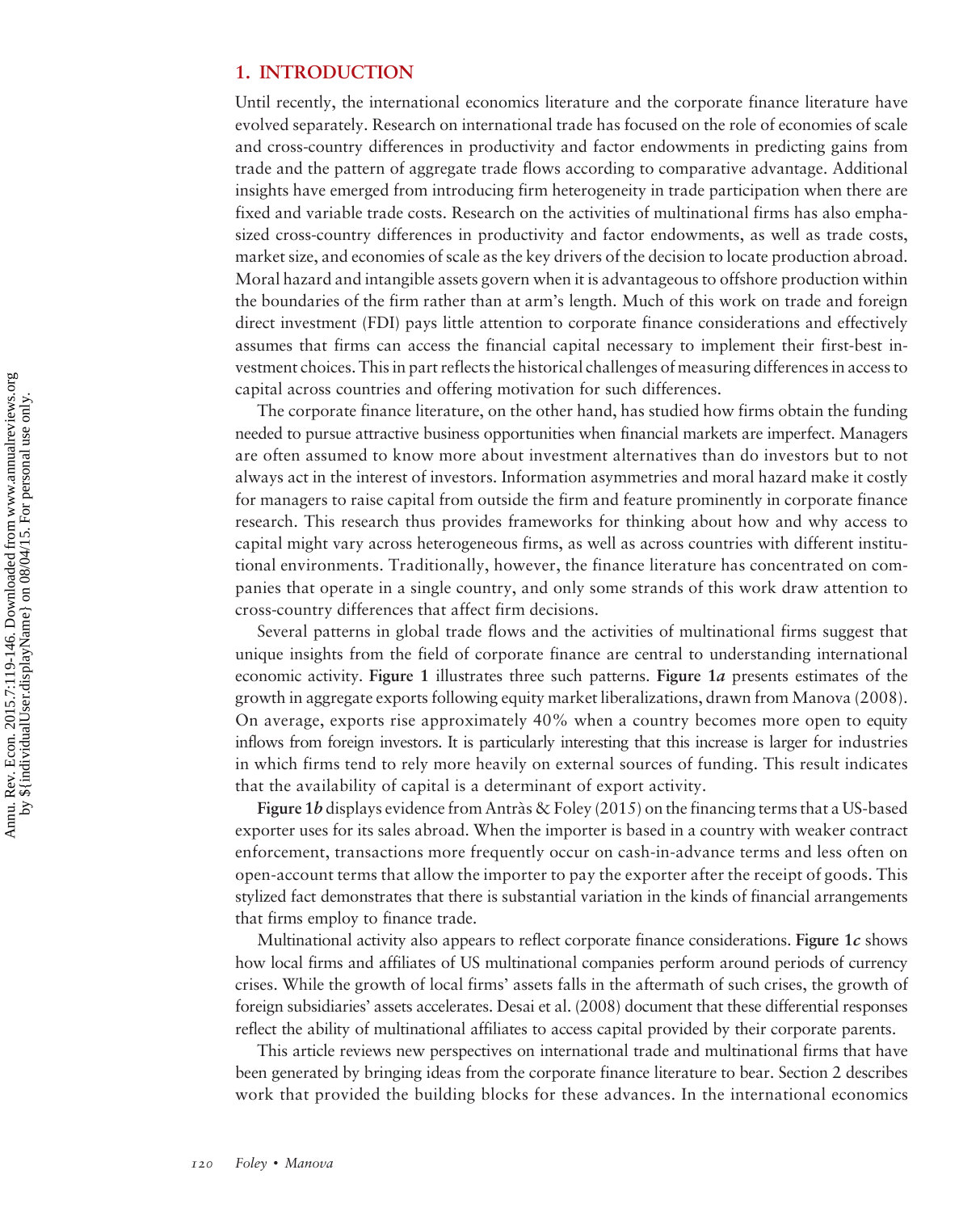#### 1. INTRODUCTION

Until recently, the international economics literature and the corporate finance literature have evolved separately. Research on international trade has focused on the role of economies of scale and cross-country differences in productivity and factor endowments in predicting gains from trade and the pattern of aggregate trade flows according to comparative advantage. Additional insights have emerged from introducing firm heterogeneity in trade participation when there are fixed and variable trade costs. Research on the activities of multinational firms has also emphasized cross-country differences in productivity and factor endowments, as well as trade costs, market size, and economies of scale as the key drivers of the decision to locate production abroad. Moral hazard and intangible assets govern when it is advantageous to offshore production within the boundaries of the firm rather than at arm's length. Much of this work on trade and foreign direct investment (FDI) pays little attention to corporate finance considerations and effectively assumes that firms can access the financial capital necessary to implement their first-best investment choices. This in part reflects the historical challenges of measuring differences in access to capital across countries and offering motivation for such differences.

The corporate finance literature, on the other hand, has studied how firms obtain the funding needed to pursue attractive business opportunities when financial markets are imperfect. Managers are often assumed to know more about investment alternatives than do investors but to not always act in the interest of investors. Information asymmetries and moral hazard make it costly for managers to raise capital from outside the firm and feature prominently in corporate finance research. This research thus provides frameworks for thinking about how and why access to capital might vary across heterogeneous firms, as well as across countries with different institutional environments. Traditionally, however, the finance literature has concentrated on companies that operate in a single country, and only some strands of this work draw attention to cross-country differences that affect firm decisions.

Several patterns in global trade flows and the activities of multinational firms suggest that unique insights from the field of corporate finance are central to understanding international economic activity. Figure 1 illustrates three such patterns. Figure 1a presents estimates of the growth in aggregate exports following equity market liberalizations, drawn from Manova (2008). On average, exports rise approximately 40% when a country becomes more open to equity inflows from foreign investors. It is particularly interesting that this increase is larger for industries in which firms tend to rely more heavily on external sources of funding. This result indicates that the availability of capital is a determinant of export activity.

Figure 1b displays evidence from Antràs & Foley (2015) on the financing terms that a US-based exporter uses for its sales abroad. When the importer is based in a country with weaker contract enforcement, transactions more frequently occur on cash-in-advance terms and less often on open-account terms that allow the importer to pay the exporter after the receipt of goods. This stylized fact demonstrates that there is substantial variation in the kinds of financial arrangements that firms employ to finance trade.

Multinational activity also appears to reflect corporate finance considerations. Figure  $1c$  shows how local firms and affiliates of US multinational companies perform around periods of currency crises. While the growth of local firms' assets falls in the aftermath of such crises, the growth of foreign subsidiaries' assets accelerates. Desai et al. (2008) document that these differential responses reflect the ability of multinational affiliates to access capital provided by their corporate parents.

This article reviews new perspectives on international trade and multinational firms that have been generated by bringing ideas from the corporate finance literature to bear. Section 2 describes work that provided the building blocks for these advances. In the international economics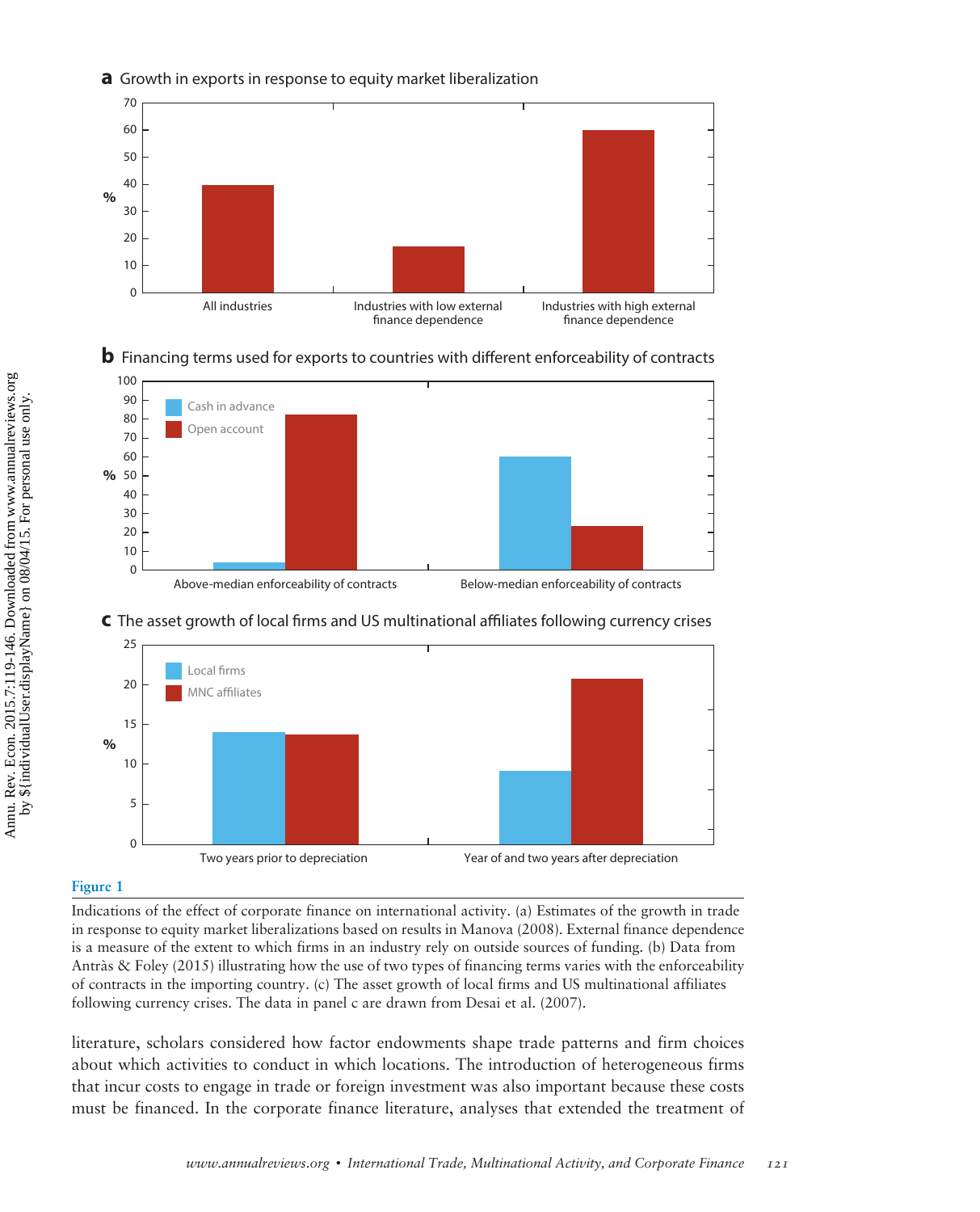

#### **a** Growth in exports in response to equity market liberalization









#### Figure 1

Indications of the effect of corporate finance on international activity. (a) Estimates of the growth in trade in response to equity market liberalizations based on results in Manova (2008). External finance dependence is a measure of the extent to which firms in an industry rely on outside sources of funding. (b) Data from Antràs & Foley (2015) illustrating how the use of two types of financing terms varies with the enforceability of contracts in the importing country. (c) The asset growth of local firms and US multinational affiliates following currency crises. The data in panel c are drawn from Desai et al. (2007).

literature, scholars considered how factor endowments shape trade patterns and firm choices about which activities to conduct in which locations. The introduction of heterogeneous firms that incur costs to engage in trade or foreign investment was also important because these costs must be financed. In the corporate finance literature, analyses that extended the treatment of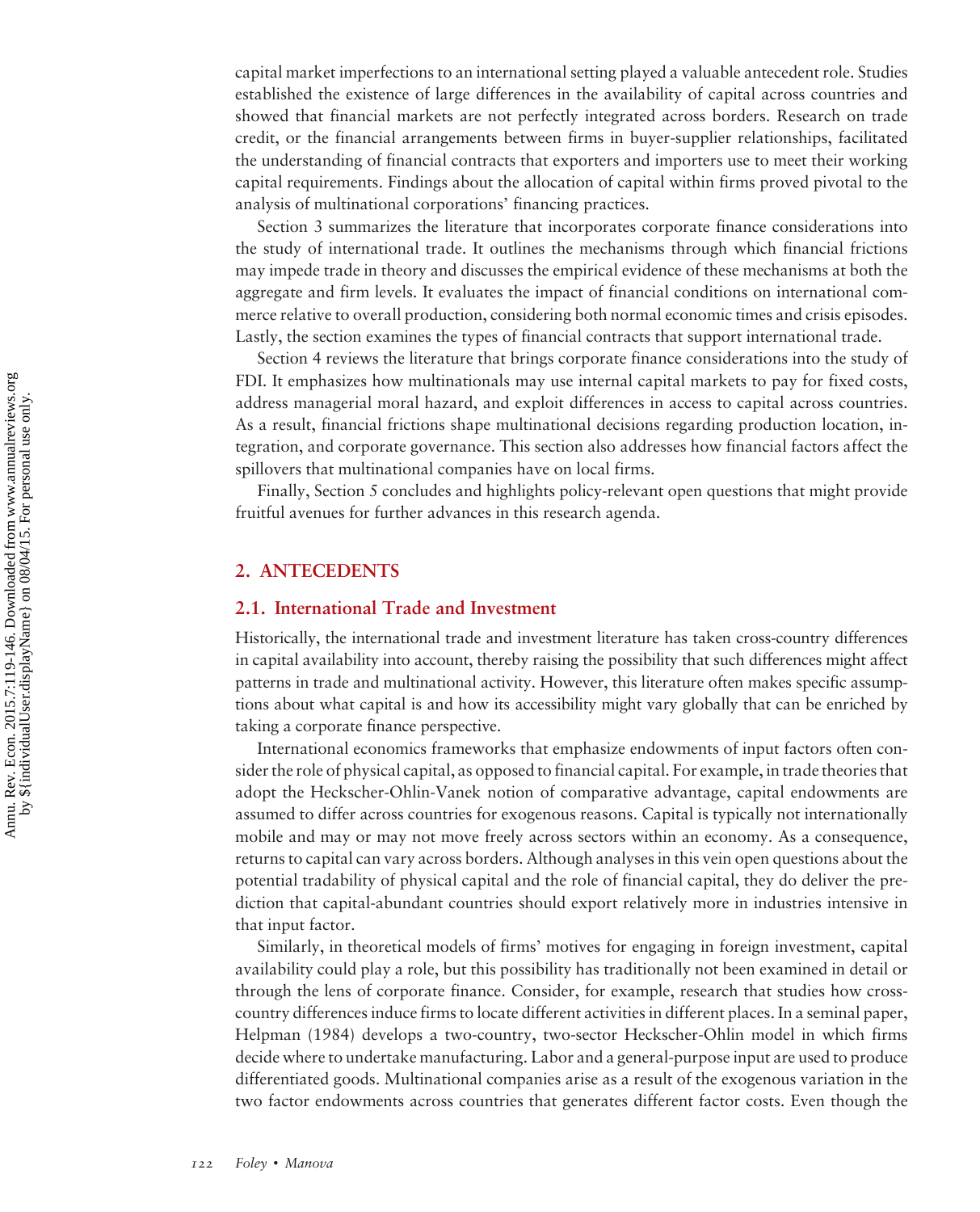capital market imperfections to an international setting played a valuable antecedent role. Studies established the existence of large differences in the availability of capital across countries and showed that financial markets are not perfectly integrated across borders. Research on trade credit, or the financial arrangements between firms in buyer-supplier relationships, facilitated the understanding of financial contracts that exporters and importers use to meet their working capital requirements. Findings about the allocation of capital within firms proved pivotal to the analysis of multinational corporations' financing practices.

Section 3 summarizes the literature that incorporates corporate finance considerations into the study of international trade. It outlines the mechanisms through which financial frictions may impede trade in theory and discusses the empirical evidence of these mechanisms at both the aggregate and firm levels. It evaluates the impact of financial conditions on international commerce relative to overall production, considering both normal economic times and crisis episodes. Lastly, the section examines the types of financial contracts that support international trade.

Section 4 reviews the literature that brings corporate finance considerations into the study of FDI. It emphasizes how multinationals may use internal capital markets to pay for fixed costs, address managerial moral hazard, and exploit differences in access to capital across countries. As a result, financial frictions shape multinational decisions regarding production location, integration, and corporate governance. This section also addresses how financial factors affect the spillovers that multinational companies have on local firms.

Finally, Section 5 concludes and highlights policy-relevant open questions that might provide fruitful avenues for further advances in this research agenda.

#### 2. ANTECEDENTS

#### 2.1. International Trade and Investment

Historically, the international trade and investment literature has taken cross-country differences in capital availability into account, thereby raising the possibility that such differences might affect patterns in trade and multinational activity. However, this literature often makes specific assumptions about what capital is and how its accessibility might vary globally that can be enriched by taking a corporate finance perspective.

International economics frameworks that emphasize endowments of input factors often consider the role of physical capital, as opposed to financial capital. For example, in trade theories that adopt the Heckscher-Ohlin-Vanek notion of comparative advantage, capital endowments are assumed to differ across countries for exogenous reasons. Capital is typically not internationally mobile and may or may not move freely across sectors within an economy. As a consequence, returns to capital can vary across borders. Although analyses in this vein open questions about the potential tradability of physical capital and the role of financial capital, they do deliver the prediction that capital-abundant countries should export relatively more in industries intensive in that input factor.

Similarly, in theoretical models of firms' motives for engaging in foreign investment, capital availability could play a role, but this possibility has traditionally not been examined in detail or through the lens of corporate finance. Consider, for example, research that studies how crosscountry differences induce firms to locate different activities in different places. In a seminal paper, Helpman (1984) develops a two-country, two-sector Heckscher-Ohlin model in which firms decide where to undertake manufacturing. Labor and a general-purpose input are used to produce differentiated goods. Multinational companies arise as a result of the exogenous variation in the two factor endowments across countries that generates different factor costs. Even though the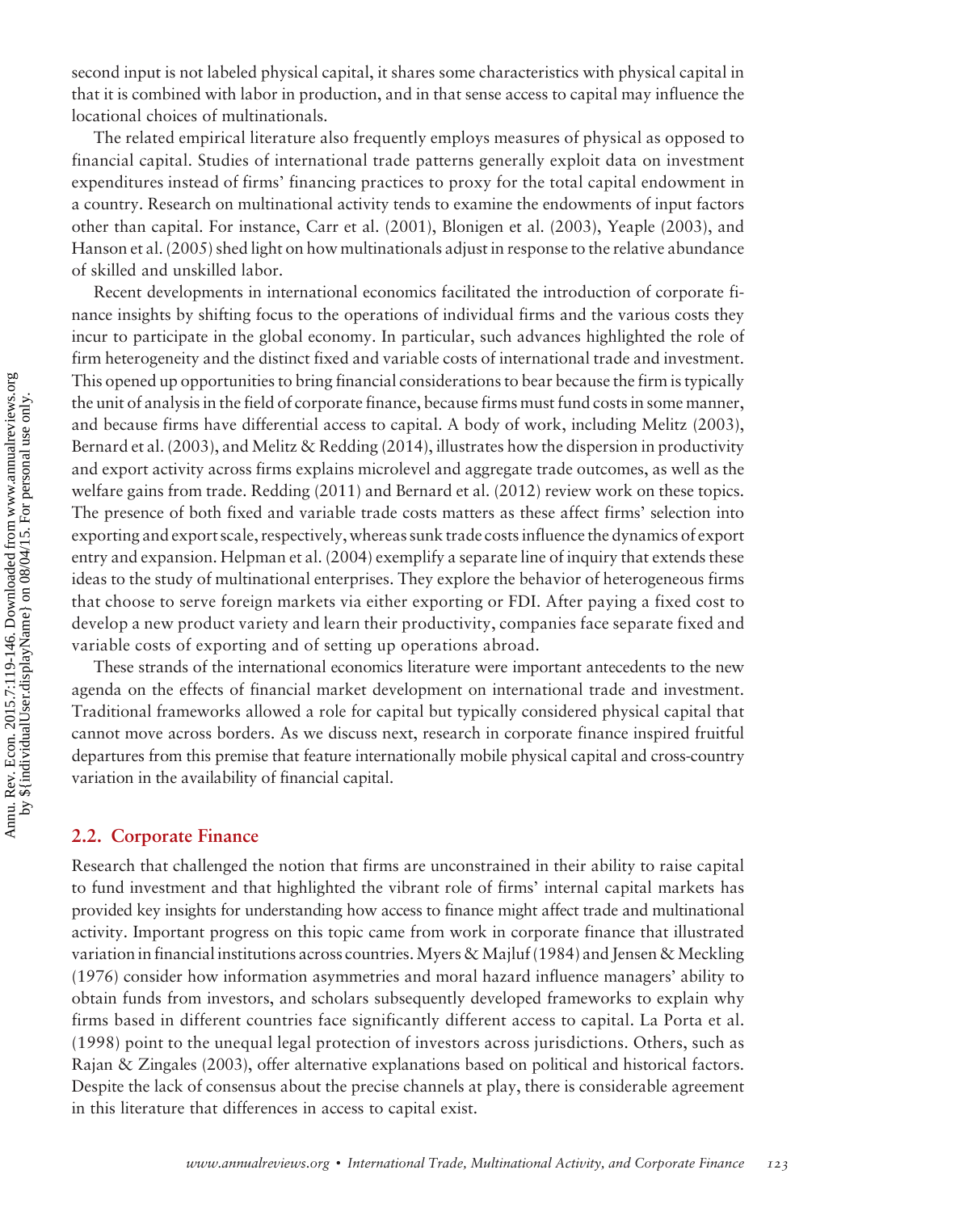second input is not labeled physical capital, it shares some characteristics with physical capital in that it is combined with labor in production, and in that sense access to capital may influence the locational choices of multinationals.

The related empirical literature also frequently employs measures of physical as opposed to financial capital. Studies of international trade patterns generally exploit data on investment expenditures instead of firms' financing practices to proxy for the total capital endowment in a country. Research on multinational activity tends to examine the endowments of input factors other than capital. For instance, Carr et al. (2001), Blonigen et al. (2003), Yeaple (2003), and Hanson et al. (2005) shed light on how multinationals adjust in response to the relative abundance of skilled and unskilled labor.

Recent developments in international economics facilitated the introduction of corporate finance insights by shifting focus to the operations of individual firms and the various costs they incur to participate in the global economy. In particular, such advances highlighted the role of firm heterogeneity and the distinct fixed and variable costs of international trade and investment. This opened up opportunities to bring financial considerations to bear because the firm is typically the unit of analysis in the field of corporate finance, because firms must fund costs in some manner, and because firms have differential access to capital. A body of work, including Melitz (2003), Bernard et al. (2003), and Melitz & Redding (2014), illustrates how the dispersion in productivity and export activity across firms explains microlevel and aggregate trade outcomes, as well as the welfare gains from trade. Redding (2011) and Bernard et al. (2012) review work on these topics. The presence of both fixed and variable trade costs matters as these affect firms' selection into exporting and export scale, respectively, whereas sunk trade costs influence the dynamics of export entry and expansion. Helpman et al. (2004) exemplify a separate line of inquiry that extends these ideas to the study of multinational enterprises. They explore the behavior of heterogeneous firms that choose to serve foreign markets via either exporting or FDI. After paying a fixed cost to develop a new product variety and learn their productivity, companies face separate fixed and variable costs of exporting and of setting up operations abroad.

These strands of the international economics literature were important antecedents to the new agenda on the effects of financial market development on international trade and investment. Traditional frameworks allowed a role for capital but typically considered physical capital that cannot move across borders. As we discuss next, research in corporate finance inspired fruitful departures from this premise that feature internationally mobile physical capital and cross-country variation in the availability of financial capital.

#### 2.2. Corporate Finance

Research that challenged the notion that firms are unconstrained in their ability to raise capital to fund investment and that highlighted the vibrant role of firms' internal capital markets has provided key insights for understanding how access to finance might affect trade and multinational activity. Important progress on this topic came from work in corporate finance that illustrated variation in financial institutions across countries. Myers & Majluf (1984) and Jensen & Meckling (1976) consider how information asymmetries and moral hazard influence managers' ability to obtain funds from investors, and scholars subsequently developed frameworks to explain why firms based in different countries face significantly different access to capital. La Porta et al. (1998) point to the unequal legal protection of investors across jurisdictions. Others, such as Rajan & Zingales (2003), offer alternative explanations based on political and historical factors. Despite the lack of consensus about the precise channels at play, there is considerable agreement in this literature that differences in access to capital exist.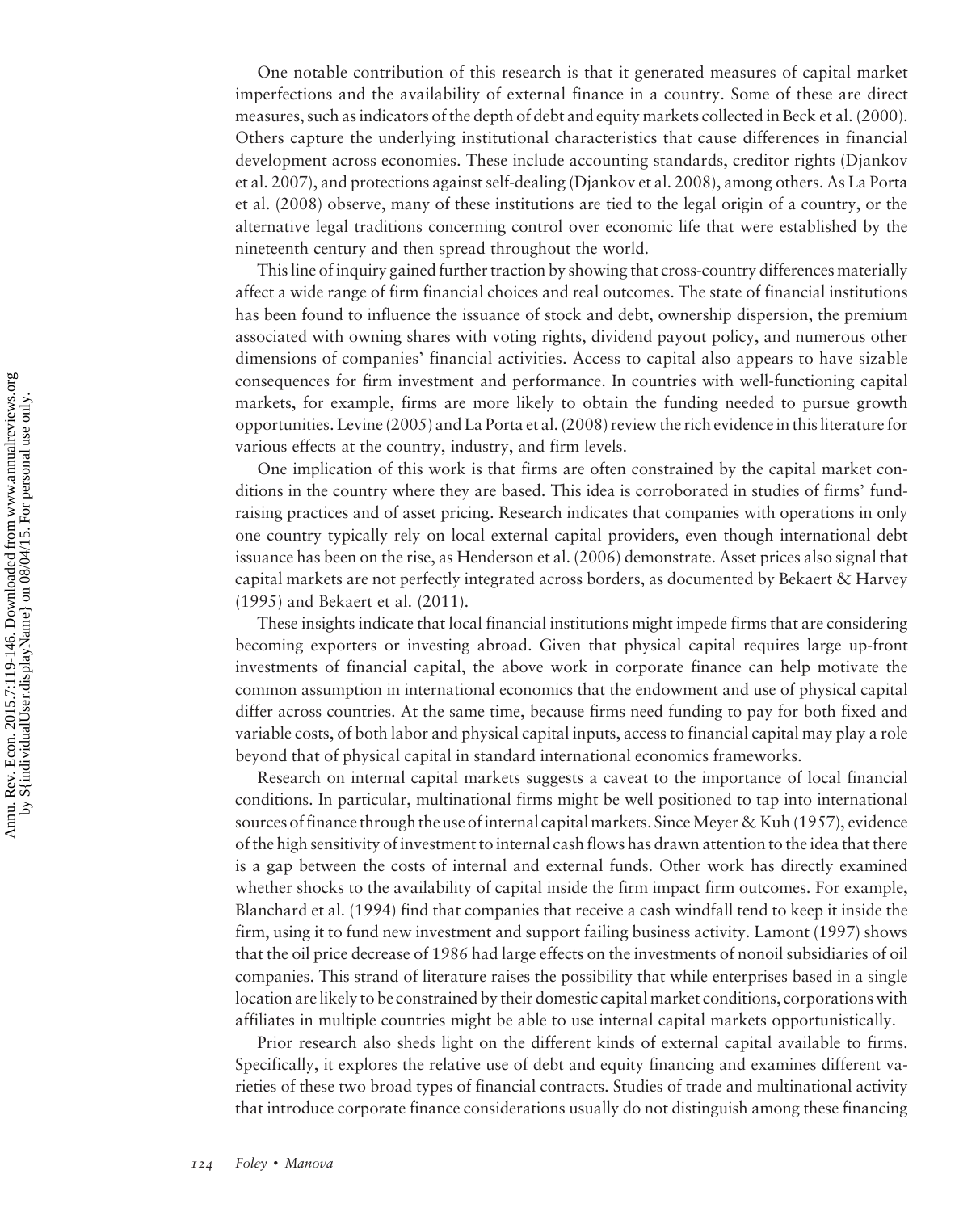One notable contribution of this research is that it generated measures of capital market imperfections and the availability of external finance in a country. Some of these are direct measures, such as indicators of the depth of debt and equity markets collected in Beck et al. (2000). Others capture the underlying institutional characteristics that cause differences in financial development across economies. These include accounting standards, creditor rights (Djankov et al. 2007), and protections against self-dealing (Djankov et al. 2008), among others. As La Porta et al. (2008) observe, many of these institutions are tied to the legal origin of a country, or the alternative legal traditions concerning control over economic life that were established by the nineteenth century and then spread throughout the world.

This line of inquiry gained further traction by showing that cross-country differences materially affect a wide range of firm financial choices and real outcomes. The state of financial institutions has been found to influence the issuance of stock and debt, ownership dispersion, the premium associated with owning shares with voting rights, dividend payout policy, and numerous other dimensions of companies' financial activities. Access to capital also appears to have sizable consequences for firm investment and performance. In countries with well-functioning capital markets, for example, firms are more likely to obtain the funding needed to pursue growth opportunities. Levine (2005) and La Porta et al. (2008) review the rich evidence in this literature for various effects at the country, industry, and firm levels.

One implication of this work is that firms are often constrained by the capital market conditions in the country where they are based. This idea is corroborated in studies of firms' fundraising practices and of asset pricing. Research indicates that companies with operations in only one country typically rely on local external capital providers, even though international debt issuance has been on the rise, as Henderson et al. (2006) demonstrate. Asset prices also signal that capital markets are not perfectly integrated across borders, as documented by Bekaert & Harvey (1995) and Bekaert et al. (2011).

These insights indicate that local financial institutions might impede firms that are considering becoming exporters or investing abroad. Given that physical capital requires large up-front investments of financial capital, the above work in corporate finance can help motivate the common assumption in international economics that the endowment and use of physical capital differ across countries. At the same time, because firms need funding to pay for both fixed and variable costs, of both labor and physical capital inputs, access to financial capital may play a role beyond that of physical capital in standard international economics frameworks.

Research on internal capital markets suggests a caveat to the importance of local financial conditions. In particular, multinational firms might be well positioned to tap into international sources of finance through the use of internal capital markets. Since Meyer & Kuh (1957), evidence of the high sensitivity of investment to internal cash flows has drawn attention to the idea that there is a gap between the costs of internal and external funds. Other work has directly examined whether shocks to the availability of capital inside the firm impact firm outcomes. For example, Blanchard et al. (1994) find that companies that receive a cash windfall tend to keep it inside the firm, using it to fund new investment and support failing business activity. Lamont (1997) shows that the oil price decrease of 1986 had large effects on the investments of nonoil subsidiaries of oil companies. This strand of literature raises the possibility that while enterprises based in a single location are likely to be constrained by their domestic capital market conditions, corporations with affiliates in multiple countries might be able to use internal capital markets opportunistically.

Prior research also sheds light on the different kinds of external capital available to firms. Specifically, it explores the relative use of debt and equity financing and examines different varieties of these two broad types of financial contracts. Studies of trade and multinational activity that introduce corporate finance considerations usually do not distinguish among these financing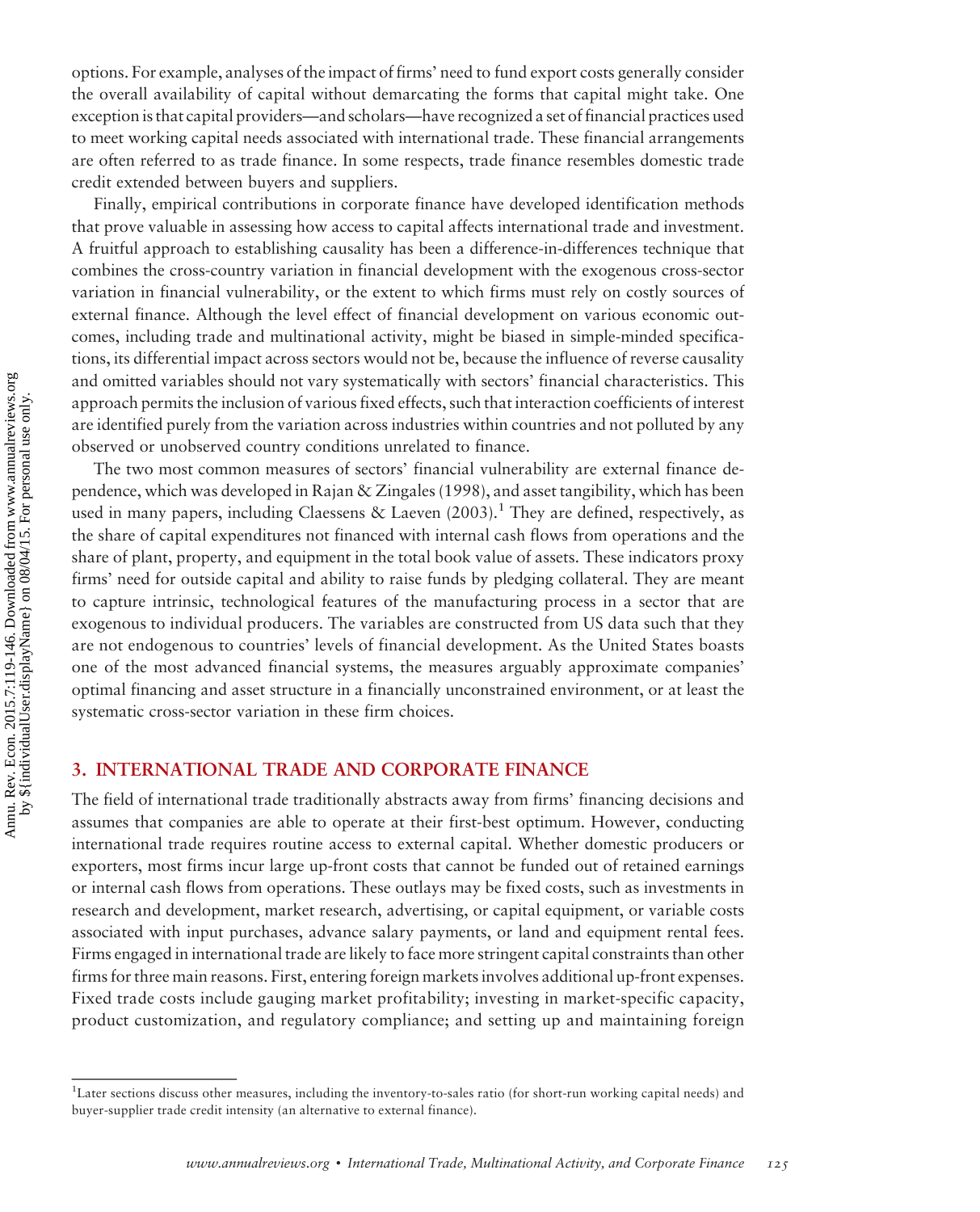options. For example, analyses of the impact of firms' need to fund export costs generally consider the overall availability of capital without demarcating the forms that capital might take. One exception is that capital providers—and scholars—have recognized a set of financial practices used to meet working capital needs associated with international trade. These financial arrangements are often referred to as trade finance. In some respects, trade finance resembles domestic trade credit extended between buyers and suppliers.

Finally, empirical contributions in corporate finance have developed identification methods that prove valuable in assessing how access to capital affects international trade and investment. A fruitful approach to establishing causality has been a difference-in-differences technique that combines the cross-country variation in financial development with the exogenous cross-sector variation in financial vulnerability, or the extent to which firms must rely on costly sources of external finance. Although the level effect of financial development on various economic outcomes, including trade and multinational activity, might be biased in simple-minded specifications, its differential impact across sectors would not be, because the influence of reverse causality and omitted variables should not vary systematically with sectors' financial characteristics. This approach permits the inclusion of various fixed effects, such that interaction coefficients of interest are identified purely from the variation across industries within countries and not polluted by any observed or unobserved country conditions unrelated to finance.

The two most common measures of sectors' financial vulnerability are external finance dependence, which was developed in Rajan & Zingales (1998), and asset tangibility, which has been used in many papers, including Claessens & Laeven  $(2003)$ .<sup>1</sup> They are defined, respectively, as the share of capital expenditures not financed with internal cash flows from operations and the share of plant, property, and equipment in the total book value of assets. These indicators proxy firms' need for outside capital and ability to raise funds by pledging collateral. They are meant to capture intrinsic, technological features of the manufacturing process in a sector that are exogenous to individual producers. The variables are constructed from US data such that they are not endogenous to countries' levels of financial development. As the United States boasts one of the most advanced financial systems, the measures arguably approximate companies' optimal financing and asset structure in a financially unconstrained environment, or at least the systematic cross-sector variation in these firm choices.

#### 3. INTERNATIONAL TRADE AND CORPORATE FINANCE

The field of international trade traditionally abstracts away from firms' financing decisions and assumes that companies are able to operate at their first-best optimum. However, conducting international trade requires routine access to external capital. Whether domestic producers or exporters, most firms incur large up-front costs that cannot be funded out of retained earnings or internal cash flows from operations. These outlays may be fixed costs, such as investments in research and development, market research, advertising, or capital equipment, or variable costs associated with input purchases, advance salary payments, or land and equipment rental fees. Firms engaged in international trade are likely to face more stringent capital constraints than other firms for three main reasons. First, entering foreign markets involves additional up-front expenses. Fixed trade costs include gauging market profitability; investing in market-specific capacity, product customization, and regulatory compliance; and setting up and maintaining foreign

<sup>&</sup>lt;sup>1</sup>Later sections discuss other measures, including the inventory-to-sales ratio (for short-run working capital needs) and buyer-supplier trade credit intensity (an alternative to external finance).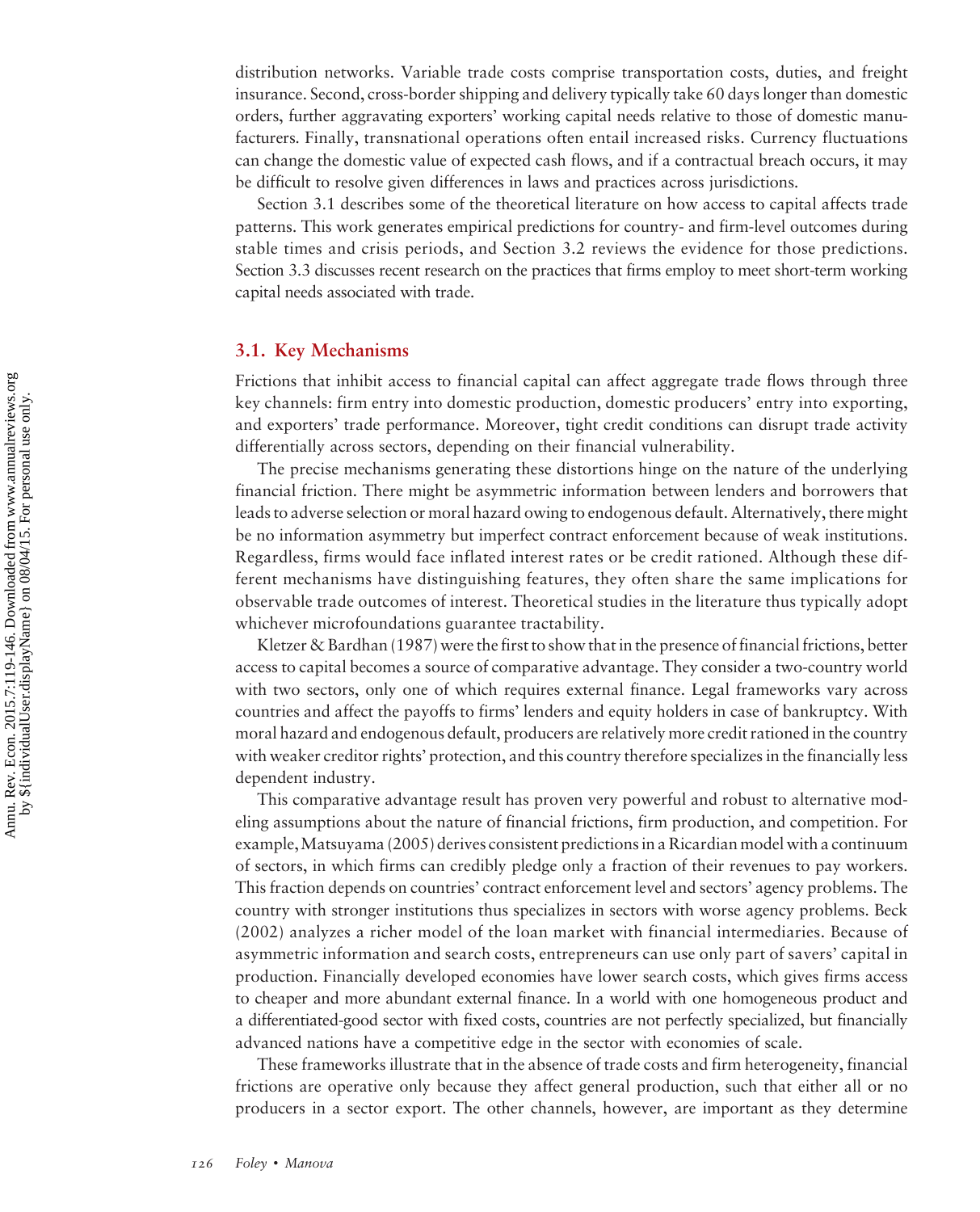distribution networks. Variable trade costs comprise transportation costs, duties, and freight insurance. Second, cross-border shipping and delivery typically take 60 days longer than domestic orders, further aggravating exporters' working capital needs relative to those of domestic manufacturers. Finally, transnational operations often entail increased risks. Currency fluctuations can change the domestic value of expected cash flows, and if a contractual breach occurs, it may be difficult to resolve given differences in laws and practices across jurisdictions.

Section 3.1 describes some of the theoretical literature on how access to capital affects trade patterns. This work generates empirical predictions for country- and firm-level outcomes during stable times and crisis periods, and Section 3.2 reviews the evidence for those predictions. Section 3.3 discusses recent research on the practices that firms employ to meet short-term working capital needs associated with trade.

#### 3.1. Key Mechanisms

Frictions that inhibit access to financial capital can affect aggregate trade flows through three key channels: firm entry into domestic production, domestic producers' entry into exporting, and exporters' trade performance. Moreover, tight credit conditions can disrupt trade activity differentially across sectors, depending on their financial vulnerability.

The precise mechanisms generating these distortions hinge on the nature of the underlying financial friction. There might be asymmetric information between lenders and borrowers that leads to adverse selection or moral hazard owing to endogenous default. Alternatively, there might be no information asymmetry but imperfect contract enforcement because of weak institutions. Regardless, firms would face inflated interest rates or be credit rationed. Although these different mechanisms have distinguishing features, they often share the same implications for observable trade outcomes of interest. Theoretical studies in the literature thus typically adopt whichever microfoundations guarantee tractability.

Kletzer & Bardhan (1987) were the first to show that in the presence of financial frictions, better access to capital becomes a source of comparative advantage. They consider a two-country world with two sectors, only one of which requires external finance. Legal frameworks vary across countries and affect the payoffs to firms' lenders and equity holders in case of bankruptcy. With moral hazard and endogenous default, producers are relatively more credit rationed in the country with weaker creditor rights' protection, and this country therefore specializes in the financially less dependent industry.

This comparative advantage result has proven very powerful and robust to alternative modeling assumptions about the nature of financial frictions, firm production, and competition. For example,Matsuyama (2005) derives consistent predictions in a Ricardian model with a continuum of sectors, in which firms can credibly pledge only a fraction of their revenues to pay workers. This fraction depends on countries' contract enforcement level and sectors' agency problems. The country with stronger institutions thus specializes in sectors with worse agency problems. Beck (2002) analyzes a richer model of the loan market with financial intermediaries. Because of asymmetric information and search costs, entrepreneurs can use only part of savers' capital in production. Financially developed economies have lower search costs, which gives firms access to cheaper and more abundant external finance. In a world with one homogeneous product and a differentiated-good sector with fixed costs, countries are not perfectly specialized, but financially advanced nations have a competitive edge in the sector with economies of scale.

These frameworks illustrate that in the absence of trade costs and firm heterogeneity, financial frictions are operative only because they affect general production, such that either all or no producers in a sector export. The other channels, however, are important as they determine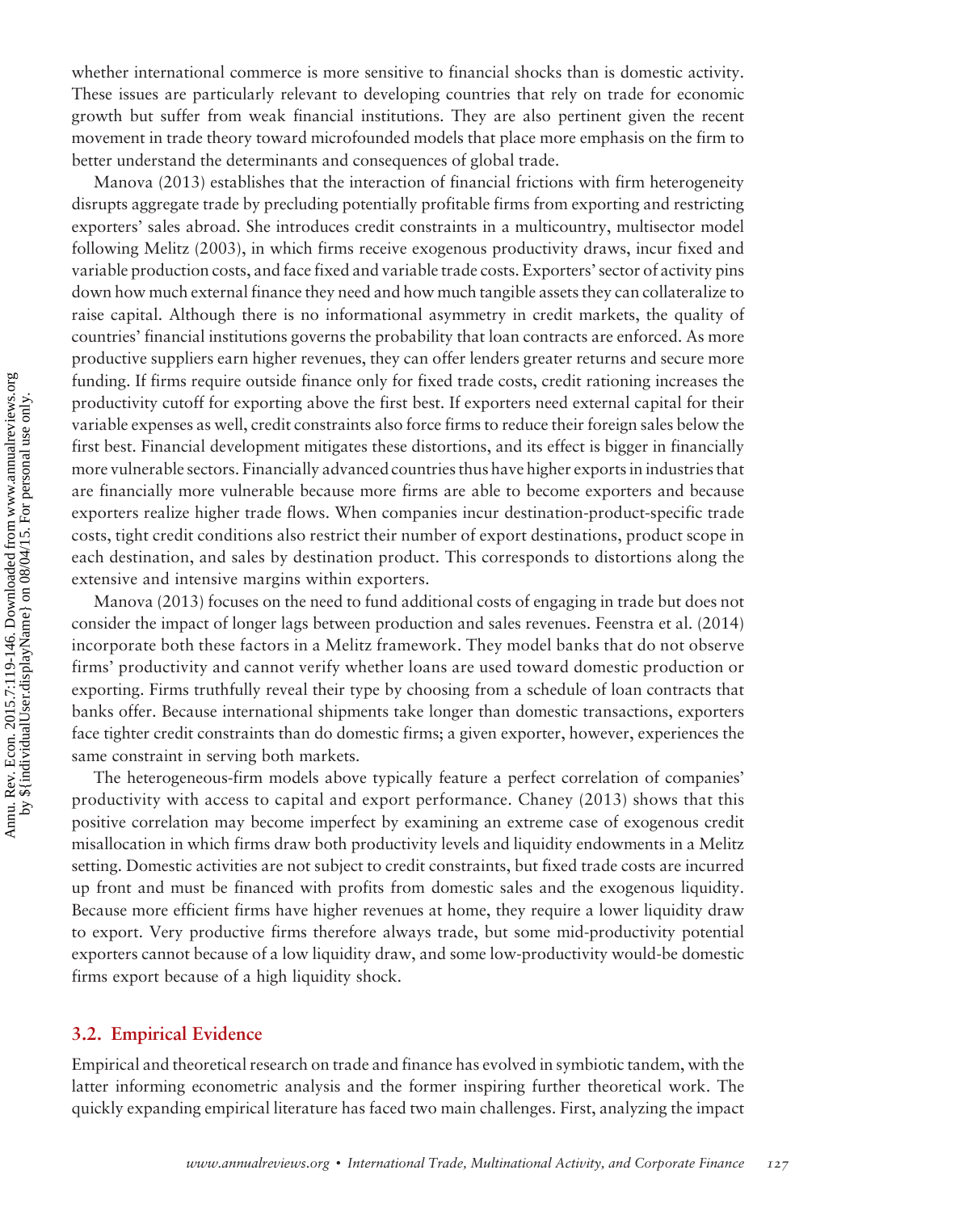whether international commerce is more sensitive to financial shocks than is domestic activity. These issues are particularly relevant to developing countries that rely on trade for economic growth but suffer from weak financial institutions. They are also pertinent given the recent movement in trade theory toward microfounded models that place more emphasis on the firm to better understand the determinants and consequences of global trade.

Manova (2013) establishes that the interaction of financial frictions with firm heterogeneity disrupts aggregate trade by precluding potentially profitable firms from exporting and restricting exporters' sales abroad. She introduces credit constraints in a multicountry, multisector model following Melitz (2003), in which firms receive exogenous productivity draws, incur fixed and variable production costs, and face fixed and variable trade costs. Exporters'sector of activity pins down how much external finance they need and how much tangible assets they can collateralize to raise capital. Although there is no informational asymmetry in credit markets, the quality of countries' financial institutions governs the probability that loan contracts are enforced. As more productive suppliers earn higher revenues, they can offer lenders greater returns and secure more funding. If firms require outside finance only for fixed trade costs, credit rationing increases the productivity cutoff for exporting above the first best. If exporters need external capital for their variable expenses as well, credit constraints also force firms to reduce their foreign sales below the first best. Financial development mitigates these distortions, and its effect is bigger in financially more vulnerable sectors. Financially advanced countries thus have higher exports in industries that are financially more vulnerable because more firms are able to become exporters and because exporters realize higher trade flows. When companies incur destination-product-specific trade costs, tight credit conditions also restrict their number of export destinations, product scope in each destination, and sales by destination product. This corresponds to distortions along the extensive and intensive margins within exporters.

Manova (2013) focuses on the need to fund additional costs of engaging in trade but does not consider the impact of longer lags between production and sales revenues. Feenstra et al. (2014) incorporate both these factors in a Melitz framework. They model banks that do not observe firms' productivity and cannot verify whether loans are used toward domestic production or exporting. Firms truthfully reveal their type by choosing from a schedule of loan contracts that banks offer. Because international shipments take longer than domestic transactions, exporters face tighter credit constraints than do domestic firms; a given exporter, however, experiences the same constraint in serving both markets.

The heterogeneous-firm models above typically feature a perfect correlation of companies' productivity with access to capital and export performance. Chaney (2013) shows that this positive correlation may become imperfect by examining an extreme case of exogenous credit misallocation in which firms draw both productivity levels and liquidity endowments in a Melitz setting. Domestic activities are not subject to credit constraints, but fixed trade costs are incurred up front and must be financed with profits from domestic sales and the exogenous liquidity. Because more efficient firms have higher revenues at home, they require a lower liquidity draw to export. Very productive firms therefore always trade, but some mid-productivity potential exporters cannot because of a low liquidity draw, and some low-productivity would-be domestic firms export because of a high liquidity shock.

#### 3.2. Empirical Evidence

Empirical and theoretical research on trade and finance has evolved in symbiotic tandem, with the latter informing econometric analysis and the former inspiring further theoretical work. The quickly expanding empirical literature has faced two main challenges. First, analyzing the impact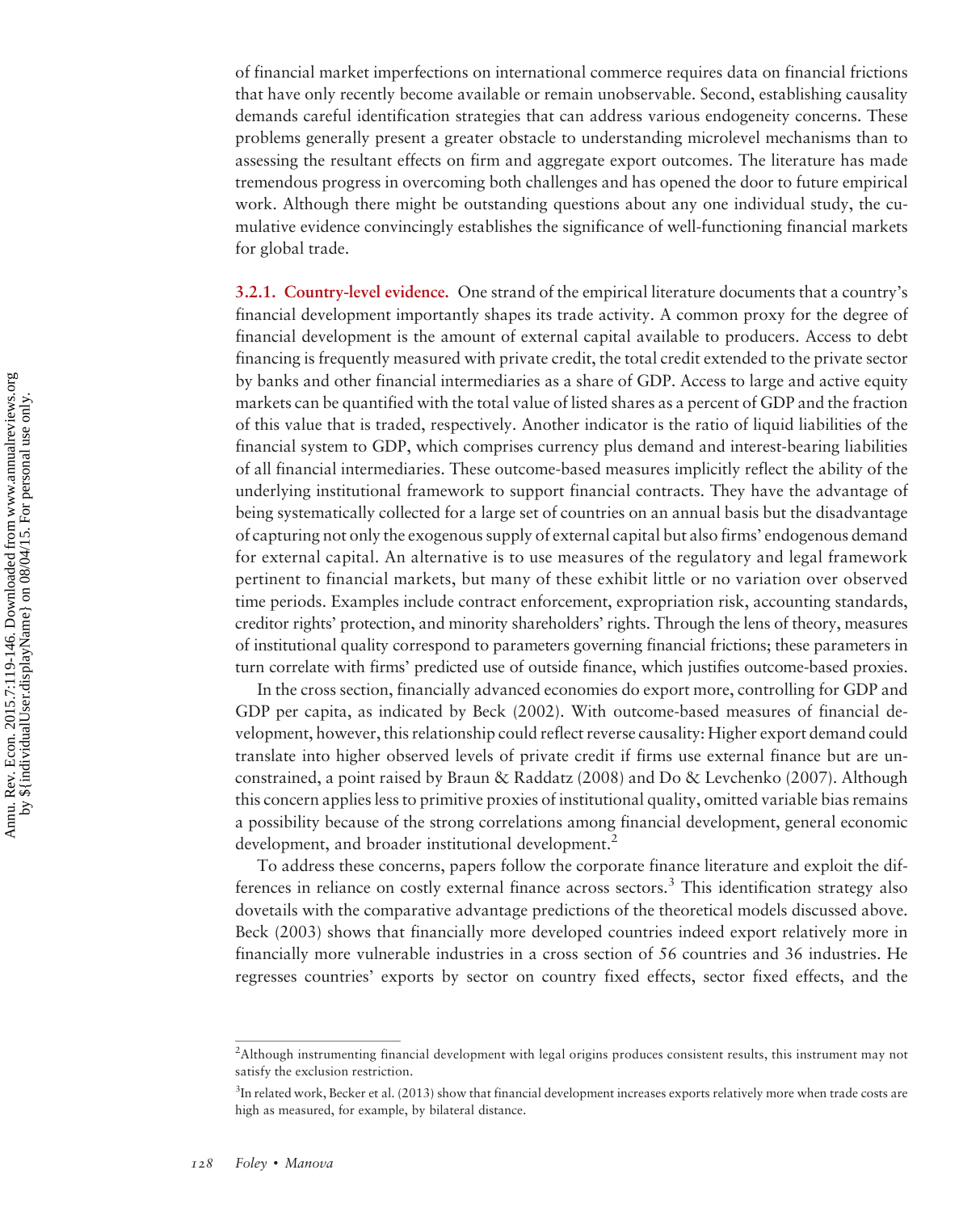of financial market imperfections on international commerce requires data on financial frictions that have only recently become available or remain unobservable. Second, establishing causality demands careful identification strategies that can address various endogeneity concerns. These problems generally present a greater obstacle to understanding microlevel mechanisms than to assessing the resultant effects on firm and aggregate export outcomes. The literature has made tremendous progress in overcoming both challenges and has opened the door to future empirical work. Although there might be outstanding questions about any one individual study, the cumulative evidence convincingly establishes the significance of well-functioning financial markets for global trade.

3.2.1. Country-level evidence. One strand of the empirical literature documents that a country's financial development importantly shapes its trade activity. A common proxy for the degree of financial development is the amount of external capital available to producers. Access to debt financing is frequently measured with private credit, the total credit extended to the private sector by banks and other financial intermediaries as a share of GDP. Access to large and active equity markets can be quantified with the total value of listed shares as a percent of GDP and the fraction of this value that is traded, respectively. Another indicator is the ratio of liquid liabilities of the financial system to GDP, which comprises currency plus demand and interest-bearing liabilities of all financial intermediaries. These outcome-based measures implicitly reflect the ability of the underlying institutional framework to support financial contracts. They have the advantage of being systematically collected for a large set of countries on an annual basis but the disadvantage of capturing not only the exogenous supply of external capital but also firms' endogenous demand for external capital. An alternative is to use measures of the regulatory and legal framework pertinent to financial markets, but many of these exhibit little or no variation over observed time periods. Examples include contract enforcement, expropriation risk, accounting standards, creditor rights' protection, and minority shareholders' rights. Through the lens of theory, measures of institutional quality correspond to parameters governing financial frictions; these parameters in turn correlate with firms' predicted use of outside finance, which justifies outcome-based proxies.

In the cross section, financially advanced economies do export more, controlling for GDP and GDP per capita, as indicated by Beck (2002). With outcome-based measures of financial development, however, this relationship could reflect reverse causality: Higher export demand could translate into higher observed levels of private credit if firms use external finance but are unconstrained, a point raised by Braun & Raddatz (2008) and Do & Levchenko (2007). Although this concern applies less to primitive proxies of institutional quality, omitted variable bias remains a possibility because of the strong correlations among financial development, general economic development, and broader institutional development.<sup>2</sup>

To address these concerns, papers follow the corporate finance literature and exploit the differences in reliance on costly external finance across sectors.<sup>3</sup> This identification strategy also dovetails with the comparative advantage predictions of the theoretical models discussed above. Beck (2003) shows that financially more developed countries indeed export relatively more in financially more vulnerable industries in a cross section of 56 countries and 36 industries. He regresses countries' exports by sector on country fixed effects, sector fixed effects, and the

<sup>2</sup> Although instrumenting financial development with legal origins produces consistent results, this instrument may not satisfy the exclusion restriction.

<sup>&</sup>lt;sup>3</sup>In related work, Becker et al. (2013) show that financial development increases exports relatively more when trade costs are high as measured, for example, by bilateral distance.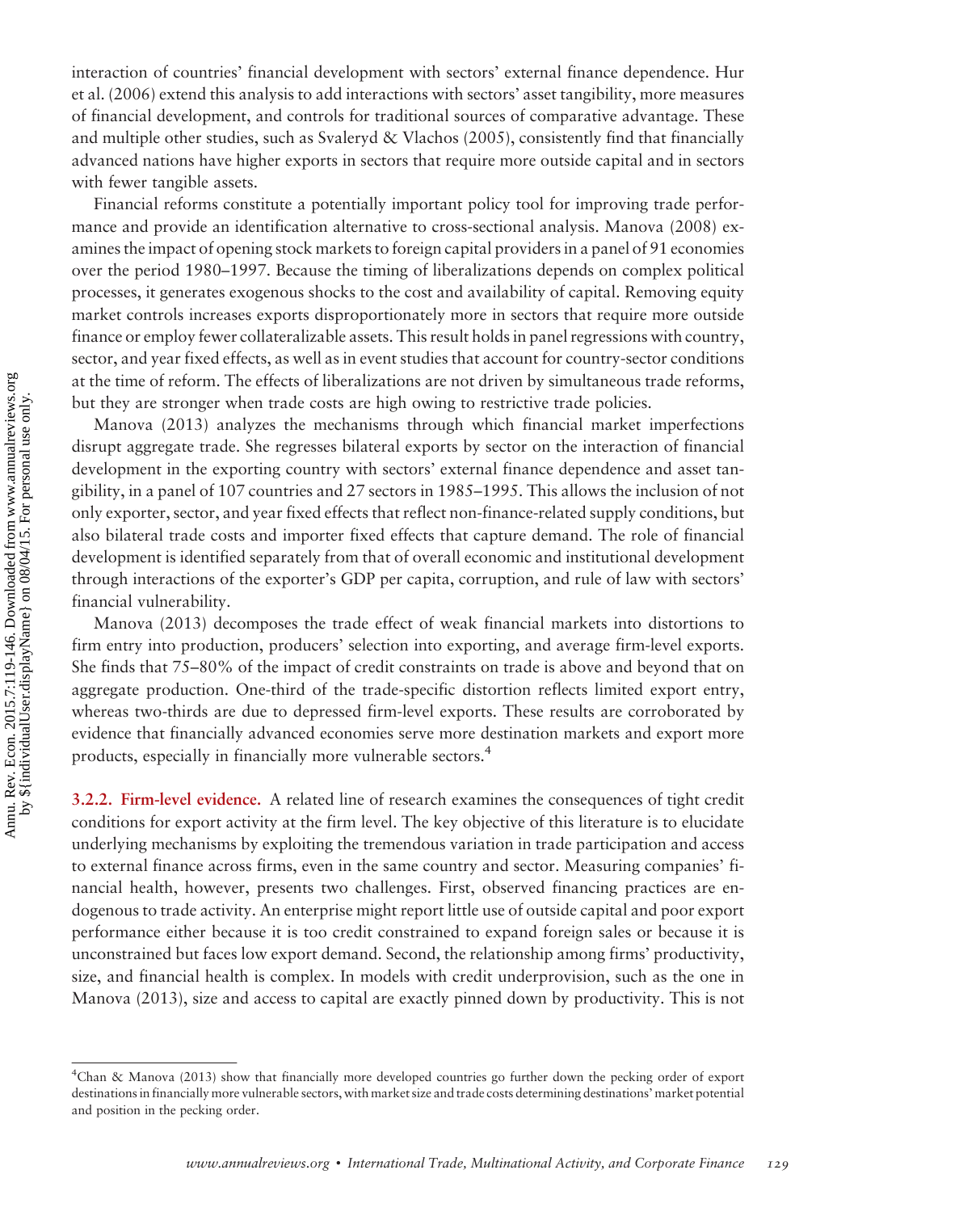interaction of countries' financial development with sectors' external finance dependence. Hur et al. (2006) extend this analysis to add interactions with sectors' asset tangibility, more measures of financial development, and controls for traditional sources of comparative advantage. These and multiple other studies, such as Svaleryd & Vlachos (2005), consistently find that financially advanced nations have higher exports in sectors that require more outside capital and in sectors with fewer tangible assets.

Financial reforms constitute a potentially important policy tool for improving trade performance and provide an identification alternative to cross-sectional analysis. Manova (2008) examines the impact of opening stock markets to foreign capital providers in a panel of 91 economies over the period 1980–1997. Because the timing of liberalizations depends on complex political processes, it generates exogenous shocks to the cost and availability of capital. Removing equity market controls increases exports disproportionately more in sectors that require more outside finance or employ fewer collateralizable assets. This result holds in panel regressions with country, sector, and year fixed effects, as well as in event studies that account for country-sector conditions at the time of reform. The effects of liberalizations are not driven by simultaneous trade reforms, but they are stronger when trade costs are high owing to restrictive trade policies.

Manova (2013) analyzes the mechanisms through which financial market imperfections disrupt aggregate trade. She regresses bilateral exports by sector on the interaction of financial development in the exporting country with sectors' external finance dependence and asset tangibility, in a panel of 107 countries and 27 sectors in 1985–1995. This allows the inclusion of not only exporter, sector, and year fixed effects that reflect non-finance-related supply conditions, but also bilateral trade costs and importer fixed effects that capture demand. The role of financial development is identified separately from that of overall economic and institutional development through interactions of the exporter's GDP per capita, corruption, and rule of law with sectors' financial vulnerability.

Manova (2013) decomposes the trade effect of weak financial markets into distortions to firm entry into production, producers' selection into exporting, and average firm-level exports. She finds that 75–80% of the impact of credit constraints on trade is above and beyond that on aggregate production. One-third of the trade-specific distortion reflects limited export entry, whereas two-thirds are due to depressed firm-level exports. These results are corroborated by evidence that financially advanced economies serve more destination markets and export more products, especially in financially more vulnerable sectors.<sup>4</sup>

3.2.2. Firm-level evidence. A related line of research examines the consequences of tight credit conditions for export activity at the firm level. The key objective of this literature is to elucidate underlying mechanisms by exploiting the tremendous variation in trade participation and access to external finance across firms, even in the same country and sector. Measuring companies' financial health, however, presents two challenges. First, observed financing practices are endogenous to trade activity. An enterprise might report little use of outside capital and poor export performance either because it is too credit constrained to expand foreign sales or because it is unconstrained but faces low export demand. Second, the relationship among firms' productivity, size, and financial health is complex. In models with credit underprovision, such as the one in Manova (2013), size and access to capital are exactly pinned down by productivity. This is not

<sup>4</sup> Chan & Manova (2013) show that financially more developed countries go further down the pecking order of export destinations in financially more vulnerable sectors, with market size and trade costs determining destinations' market potential and position in the pecking order.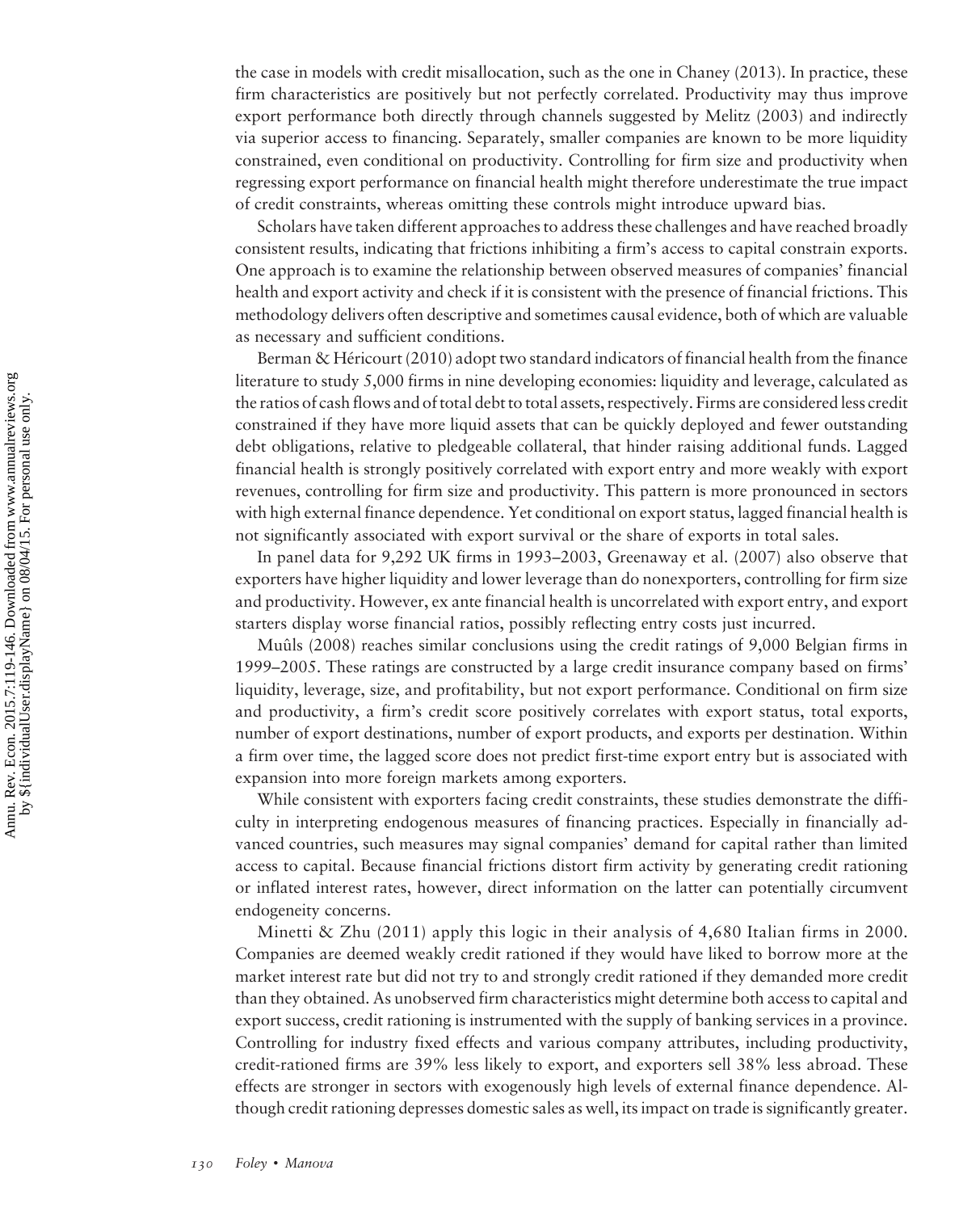the case in models with credit misallocation, such as the one in Chaney (2013). In practice, these firm characteristics are positively but not perfectly correlated. Productivity may thus improve export performance both directly through channels suggested by Melitz (2003) and indirectly via superior access to financing. Separately, smaller companies are known to be more liquidity constrained, even conditional on productivity. Controlling for firm size and productivity when regressing export performance on financial health might therefore underestimate the true impact of credit constraints, whereas omitting these controls might introduce upward bias.

Scholars have taken different approaches to address these challenges and have reached broadly consistent results, indicating that frictions inhibiting a firm's access to capital constrain exports. One approach is to examine the relationship between observed measures of companies' financial health and export activity and check if it is consistent with the presence of financial frictions. This methodology delivers often descriptive and sometimes causal evidence, both of which are valuable as necessary and sufficient conditions.

Berman & Héricourt (2010) adopt two standard indicators of financial health from the finance literature to study 5,000 firms in nine developing economies: liquidity and leverage, calculated as the ratios of cash flows and of total debt to total assets, respectively. Firms are considered less credit constrained if they have more liquid assets that can be quickly deployed and fewer outstanding debt obligations, relative to pledgeable collateral, that hinder raising additional funds. Lagged financial health is strongly positively correlated with export entry and more weakly with export revenues, controlling for firm size and productivity. This pattern is more pronounced in sectors with high external finance dependence. Yet conditional on export status, lagged financial health is not significantly associated with export survival or the share of exports in total sales.

In panel data for 9,292 UK firms in 1993–2003, Greenaway et al. (2007) also observe that exporters have higher liquidity and lower leverage than do nonexporters, controlling for firm size and productivity. However, ex ante financial health is uncorrelated with export entry, and export starters display worse financial ratios, possibly reflecting entry costs just incurred.

Muûls (2008) reaches similar conclusions using the credit ratings of 9,000 Belgian firms in 1999–2005. These ratings are constructed by a large credit insurance company based on firms' liquidity, leverage, size, and profitability, but not export performance. Conditional on firm size and productivity, a firm's credit score positively correlates with export status, total exports, number of export destinations, number of export products, and exports per destination. Within a firm over time, the lagged score does not predict first-time export entry but is associated with expansion into more foreign markets among exporters.

While consistent with exporters facing credit constraints, these studies demonstrate the difficulty in interpreting endogenous measures of financing practices. Especially in financially advanced countries, such measures may signal companies' demand for capital rather than limited access to capital. Because financial frictions distort firm activity by generating credit rationing or inflated interest rates, however, direct information on the latter can potentially circumvent endogeneity concerns.

Minetti  $\&$  Zhu (2011) apply this logic in their analysis of 4,680 Italian firms in 2000. Companies are deemed weakly credit rationed if they would have liked to borrow more at the market interest rate but did not try to and strongly credit rationed if they demanded more credit than they obtained. As unobserved firm characteristics might determine both access to capital and export success, credit rationing is instrumented with the supply of banking services in a province. Controlling for industry fixed effects and various company attributes, including productivity, credit-rationed firms are 39% less likely to export, and exporters sell 38% less abroad. These effects are stronger in sectors with exogenously high levels of external finance dependence. Although credit rationing depresses domestic sales as well, its impact on trade is significantly greater.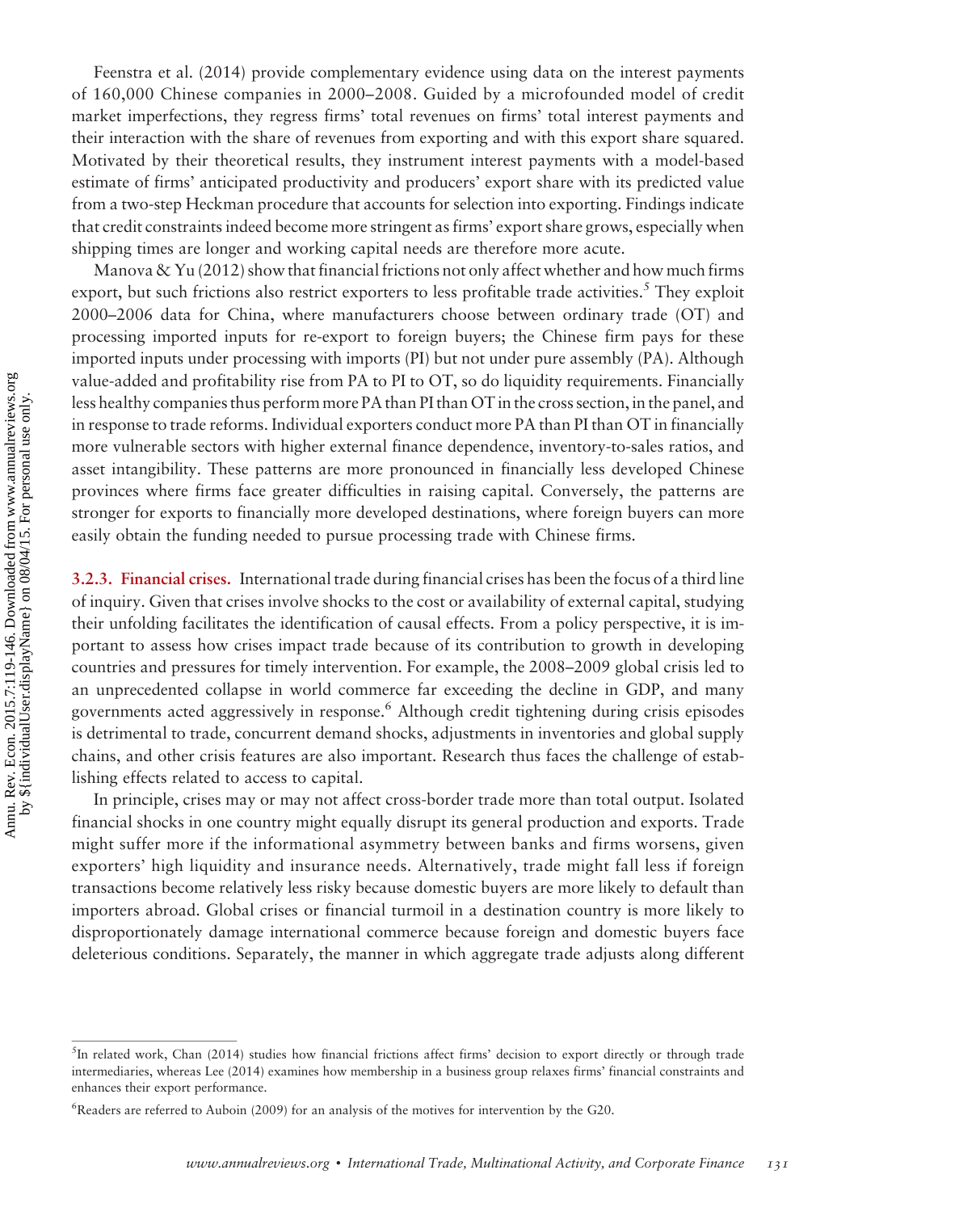Feenstra et al. (2014) provide complementary evidence using data on the interest payments of 160,000 Chinese companies in 2000–2008. Guided by a microfounded model of credit market imperfections, they regress firms' total revenues on firms' total interest payments and their interaction with the share of revenues from exporting and with this export share squared. Motivated by their theoretical results, they instrument interest payments with a model-based estimate of firms' anticipated productivity and producers' export share with its predicted value from a two-step Heckman procedure that accounts for selection into exporting. Findings indicate that credit constraints indeed become more stringent as firms' export share grows, especially when shipping times are longer and working capital needs are therefore more acute.

Manova  $\&$  Yu (2012) show that financial frictions not only affect whether and how much firms export, but such frictions also restrict exporters to less profitable trade activities.<sup>5</sup> They exploit 2000–2006 data for China, where manufacturers choose between ordinary trade (OT) and processing imported inputs for re-export to foreign buyers; the Chinese firm pays for these imported inputs under processing with imports (PI) but not under pure assembly (PA). Although value-added and profitability rise from PA to PI to OT, so do liquidity requirements. Financially less healthy companies thus perform more PA than PI than OT in the cross section, in the panel, and in response to trade reforms. Individual exporters conduct more PA than PI than OT in financially more vulnerable sectors with higher external finance dependence, inventory-to-sales ratios, and asset intangibility. These patterns are more pronounced in financially less developed Chinese provinces where firms face greater difficulties in raising capital. Conversely, the patterns are stronger for exports to financially more developed destinations, where foreign buyers can more easily obtain the funding needed to pursue processing trade with Chinese firms.

3.2.3. Financial crises. International trade during financial crises has been the focus of a third line of inquiry. Given that crises involve shocks to the cost or availability of external capital, studying their unfolding facilitates the identification of causal effects. From a policy perspective, it is important to assess how crises impact trade because of its contribution to growth in developing countries and pressures for timely intervention. For example, the 2008–2009 global crisis led to an unprecedented collapse in world commerce far exceeding the decline in GDP, and many governments acted aggressively in response.<sup>6</sup> Although credit tightening during crisis episodes is detrimental to trade, concurrent demand shocks, adjustments in inventories and global supply chains, and other crisis features are also important. Research thus faces the challenge of establishing effects related to access to capital.

In principle, crises may or may not affect cross-border trade more than total output. Isolated financial shocks in one country might equally disrupt its general production and exports. Trade might suffer more if the informational asymmetry between banks and firms worsens, given exporters' high liquidity and insurance needs. Alternatively, trade might fall less if foreign transactions become relatively less risky because domestic buyers are more likely to default than importers abroad. Global crises or financial turmoil in a destination country is more likely to disproportionately damage international commerce because foreign and domestic buyers face deleterious conditions. Separately, the manner in which aggregate trade adjusts along different

<sup>5</sup> In related work, Chan (2014) studies how financial frictions affect firms' decision to export directly or through trade intermediaries, whereas Lee (2014) examines how membership in a business group relaxes firms' financial constraints and enhances their export performance.

<sup>6</sup> Readers are referred to Auboin (2009) for an analysis of the motives for intervention by the G20.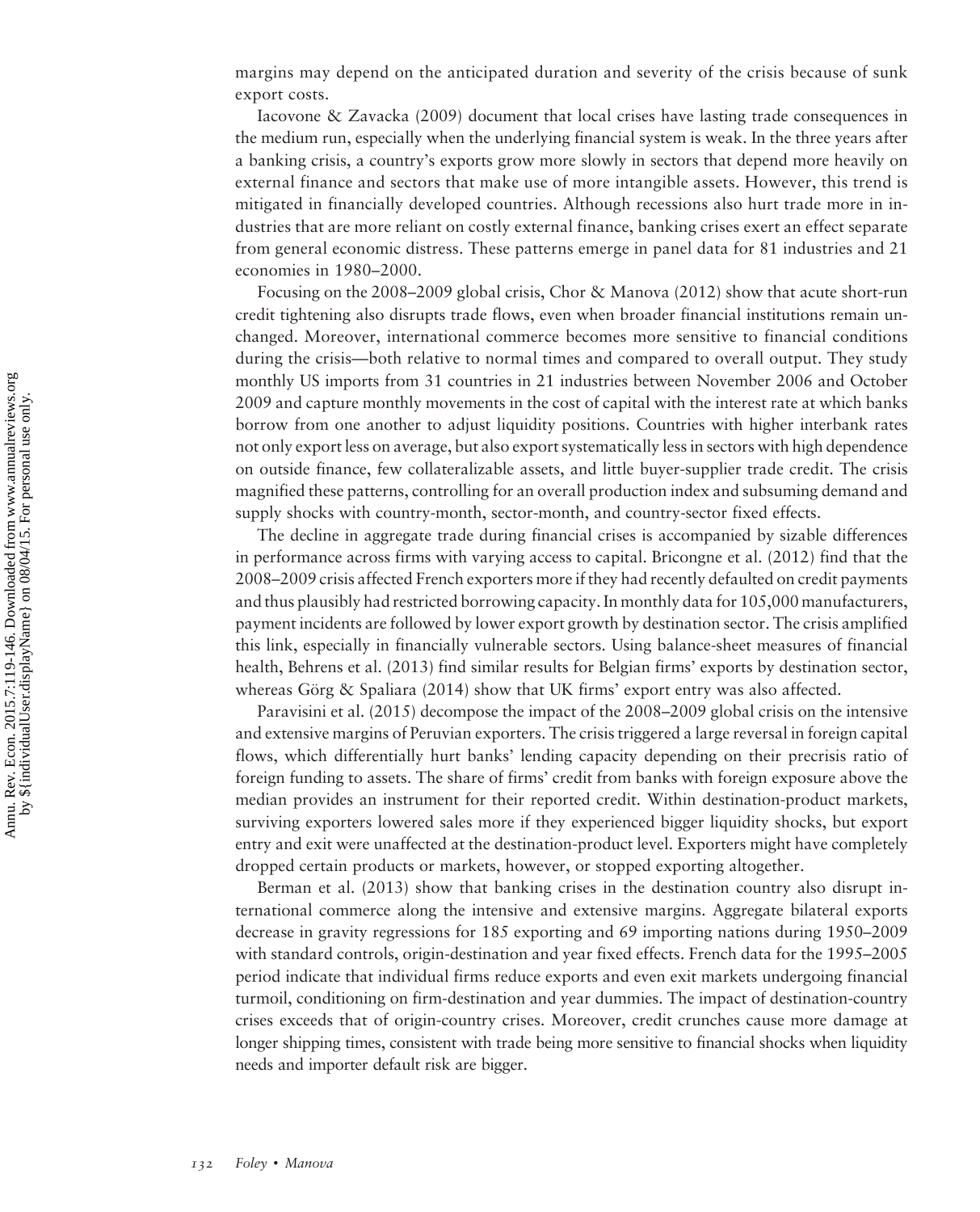margins may depend on the anticipated duration and severity of the crisis because of sunk export costs.

Iacovone & Zavacka (2009) document that local crises have lasting trade consequences in the medium run, especially when the underlying financial system is weak. In the three years after a banking crisis, a country's exports grow more slowly in sectors that depend more heavily on external finance and sectors that make use of more intangible assets. However, this trend is mitigated in financially developed countries. Although recessions also hurt trade more in industries that are more reliant on costly external finance, banking crises exert an effect separate from general economic distress. These patterns emerge in panel data for 81 industries and 21 economies in 1980–2000.

Focusing on the 2008–2009 global crisis, Chor & Manova (2012) show that acute short-run credit tightening also disrupts trade flows, even when broader financial institutions remain unchanged. Moreover, international commerce becomes more sensitive to financial conditions during the crisis—both relative to normal times and compared to overall output. They study monthly US imports from 31 countries in 21 industries between November 2006 and October 2009 and capture monthly movements in the cost of capital with the interest rate at which banks borrow from one another to adjust liquidity positions. Countries with higher interbank rates not only export less on average, but also export systematically less in sectors with high dependence on outside finance, few collateralizable assets, and little buyer-supplier trade credit. The crisis magnified these patterns, controlling for an overall production index and subsuming demand and supply shocks with country-month, sector-month, and country-sector fixed effects.

The decline in aggregate trade during financial crises is accompanied by sizable differences in performance across firms with varying access to capital. Bricongne et al. (2012) find that the 2008–2009 crisis affected French exporters more if they had recently defaulted on credit payments and thus plausibly had restricted borrowing capacity. In monthly data for 105,000 manufacturers, payment incidents are followed by lower export growth by destination sector. The crisis amplified this link, especially in financially vulnerable sectors. Using balance-sheet measures of financial health, Behrens et al. (2013) find similar results for Belgian firms' exports by destination sector, whereas Görg & Spaliara (2014) show that UK firms' export entry was also affected.

Paravisini et al. (2015) decompose the impact of the 2008–2009 global crisis on the intensive and extensive margins of Peruvian exporters. The crisis triggered a large reversal in foreign capital flows, which differentially hurt banks' lending capacity depending on their precrisis ratio of foreign funding to assets. The share of firms' credit from banks with foreign exposure above the median provides an instrument for their reported credit. Within destination-product markets, surviving exporters lowered sales more if they experienced bigger liquidity shocks, but export entry and exit were unaffected at the destination-product level. Exporters might have completely dropped certain products or markets, however, or stopped exporting altogether.

Berman et al. (2013) show that banking crises in the destination country also disrupt international commerce along the intensive and extensive margins. Aggregate bilateral exports decrease in gravity regressions for 185 exporting and 69 importing nations during 1950–2009 with standard controls, origin-destination and year fixed effects. French data for the 1995–2005 period indicate that individual firms reduce exports and even exit markets undergoing financial turmoil, conditioning on firm-destination and year dummies. The impact of destination-country crises exceeds that of origin-country crises. Moreover, credit crunches cause more damage at longer shipping times, consistent with trade being more sensitive to financial shocks when liquidity needs and importer default risk are bigger.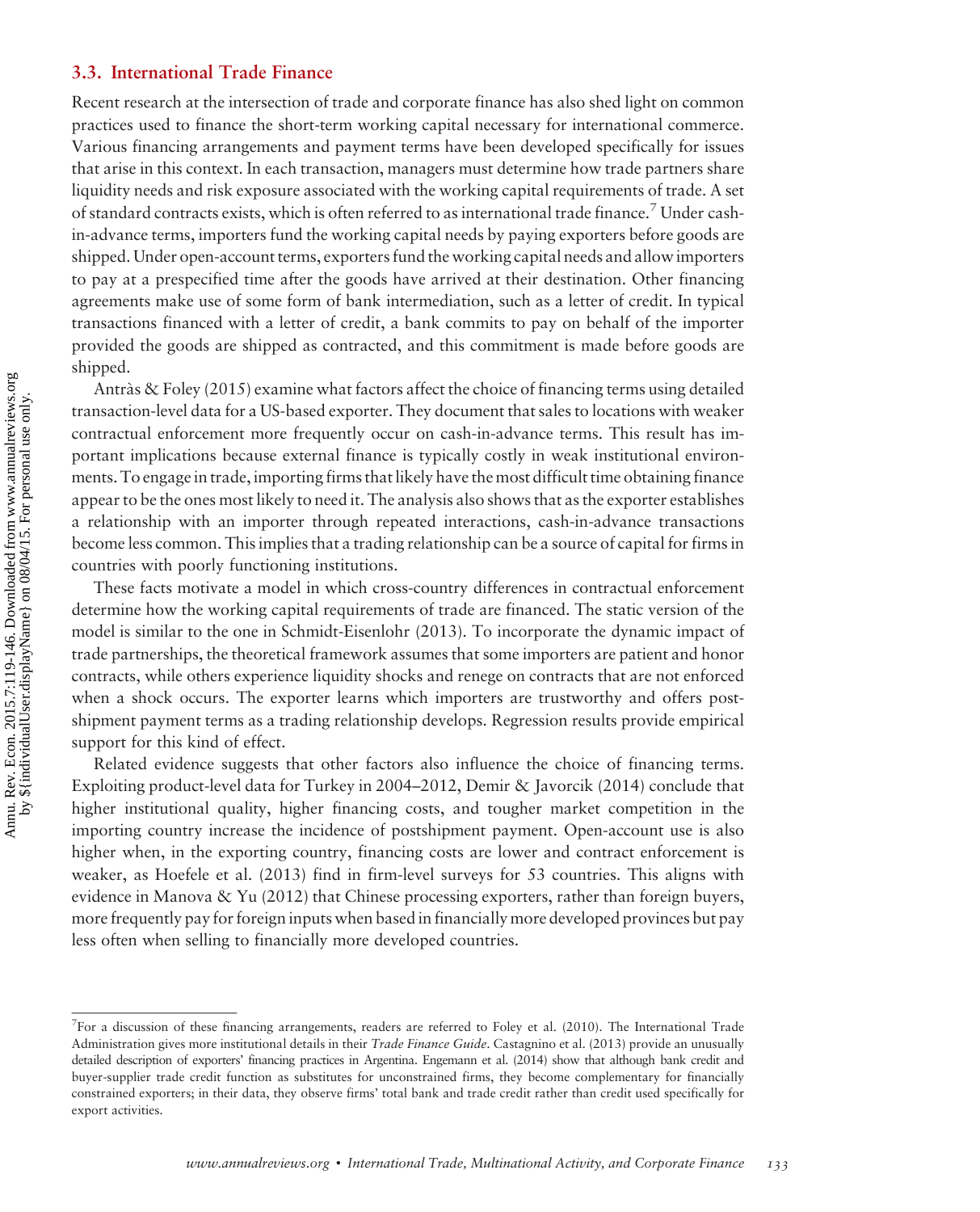#### 3.3. International Trade Finance

Recent research at the intersection of trade and corporate finance has also shed light on common practices used to finance the short-term working capital necessary for international commerce. Various financing arrangements and payment terms have been developed specifically for issues that arise in this context. In each transaction, managers must determine how trade partners share liquidity needs and risk exposure associated with the working capital requirements of trade. A set of standard contracts exists, which is often referred to as international trade finance.<sup>7</sup> Under cashin-advance terms, importers fund the working capital needs by paying exporters before goods are shipped. Under open-account terms, exporters fund the working capital needs and allow importers to pay at a prespecified time after the goods have arrived at their destination. Other financing agreements make use of some form of bank intermediation, such as a letter of credit. In typical transactions financed with a letter of credit, a bank commits to pay on behalf of the importer provided the goods are shipped as contracted, and this commitment is made before goods are shipped.

Antràs & Foley (2015) examine what factors affect the choice of financing terms using detailed transaction-level data for a US-based exporter. They document that sales to locations with weaker contractual enforcement more frequently occur on cash-in-advance terms. This result has important implications because external finance is typically costly in weak institutional environments. To engage in trade, importing firms that likely have the most difficult time obtaining finance appear to be the ones most likely to need it. The analysis also shows that as the exporter establishes a relationship with an importer through repeated interactions, cash-in-advance transactions become less common. This implies that a trading relationship can be a source of capital for firms in countries with poorly functioning institutions.

These facts motivate a model in which cross-country differences in contractual enforcement determine how the working capital requirements of trade are financed. The static version of the model is similar to the one in Schmidt-Eisenlohr (2013). To incorporate the dynamic impact of trade partnerships, the theoretical framework assumes that some importers are patient and honor contracts, while others experience liquidity shocks and renege on contracts that are not enforced when a shock occurs. The exporter learns which importers are trustworthy and offers postshipment payment terms as a trading relationship develops. Regression results provide empirical support for this kind of effect.

Related evidence suggests that other factors also influence the choice of financing terms. Exploiting product-level data for Turkey in 2004–2012, Demir & Javorcik (2014) conclude that higher institutional quality, higher financing costs, and tougher market competition in the importing country increase the incidence of postshipment payment. Open-account use is also higher when, in the exporting country, financing costs are lower and contract enforcement is weaker, as Hoefele et al. (2013) find in firm-level surveys for 53 countries. This aligns with evidence in Manova & Yu (2012) that Chinese processing exporters, rather than foreign buyers, more frequently pay for foreign inputs when based in financially more developed provinces but pay less often when selling to financially more developed countries.

<sup>7</sup> For a discussion of these financing arrangements, readers are referred to Foley et al. (2010). The International Trade Administration gives more institutional details in their *Trade Finance Guide*. Castagnino et al. (2013) provide an unusually detailed description of exporters' financing practices in Argentina. Engemann et al. (2014) show that although bank credit and buyer-supplier trade credit function as substitutes for unconstrained firms, they become complementary for financially constrained exporters; in their data, they observe firms' total bank and trade credit rather than credit used specifically for export activities.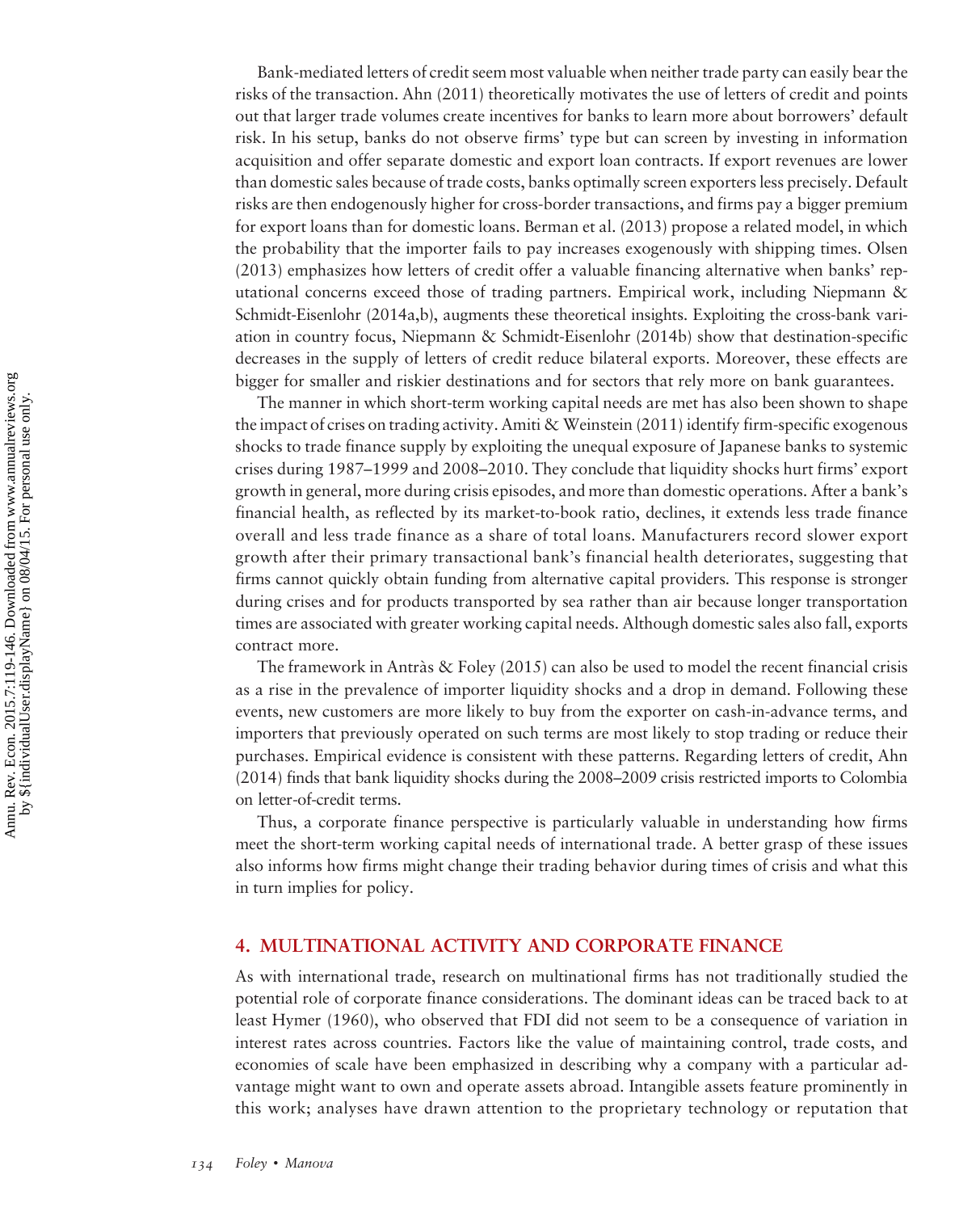Bank-mediated letters of credit seem most valuable when neither trade party can easily bear the risks of the transaction. Ahn (2011) theoretically motivates the use of letters of credit and points out that larger trade volumes create incentives for banks to learn more about borrowers' default risk. In his setup, banks do not observe firms' type but can screen by investing in information acquisition and offer separate domestic and export loan contracts. If export revenues are lower than domestic sales because of trade costs, banks optimally screen exporters less precisely. Default risks are then endogenously higher for cross-border transactions, and firms pay a bigger premium for export loans than for domestic loans. Berman et al. (2013) propose a related model, in which the probability that the importer fails to pay increases exogenously with shipping times. Olsen (2013) emphasizes how letters of credit offer a valuable financing alternative when banks' reputational concerns exceed those of trading partners. Empirical work, including Niepmann & Schmidt-Eisenlohr (2014a,b), augments these theoretical insights. Exploiting the cross-bank variation in country focus, Niepmann & Schmidt-Eisenlohr (2014b) show that destination-specific decreases in the supply of letters of credit reduce bilateral exports. Moreover, these effects are bigger for smaller and riskier destinations and for sectors that rely more on bank guarantees.

The manner in which short-term working capital needs are met has also been shown to shape the impact of crises on trading activity. Amiti & Weinstein (2011) identify firm-specific exogenous shocks to trade finance supply by exploiting the unequal exposure of Japanese banks to systemic crises during 1987–1999 and 2008–2010. They conclude that liquidity shocks hurt firms' export growth in general, more during crisis episodes, and more than domestic operations. After a bank's financial health, as reflected by its market-to-book ratio, declines, it extends less trade finance overall and less trade finance as a share of total loans. Manufacturers record slower export growth after their primary transactional bank's financial health deteriorates, suggesting that firms cannot quickly obtain funding from alternative capital providers. This response is stronger during crises and for products transported by sea rather than air because longer transportation times are associated with greater working capital needs. Although domestic sales also fall, exports contract more.

The framework in Antràs & Foley (2015) can also be used to model the recent financial crisis as a rise in the prevalence of importer liquidity shocks and a drop in demand. Following these events, new customers are more likely to buy from the exporter on cash-in-advance terms, and importers that previously operated on such terms are most likely to stop trading or reduce their purchases. Empirical evidence is consistent with these patterns. Regarding letters of credit, Ahn (2014) finds that bank liquidity shocks during the 2008–2009 crisis restricted imports to Colombia on letter-of-credit terms.

Thus, a corporate finance perspective is particularly valuable in understanding how firms meet the short-term working capital needs of international trade. A better grasp of these issues also informs how firms might change their trading behavior during times of crisis and what this in turn implies for policy.

#### 4. MULTINATIONAL ACTIVITY AND CORPORATE FINANCE

As with international trade, research on multinational firms has not traditionally studied the potential role of corporate finance considerations. The dominant ideas can be traced back to at least Hymer (1960), who observed that FDI did not seem to be a consequence of variation in interest rates across countries. Factors like the value of maintaining control, trade costs, and economies of scale have been emphasized in describing why a company with a particular advantage might want to own and operate assets abroad. Intangible assets feature prominently in this work; analyses have drawn attention to the proprietary technology or reputation that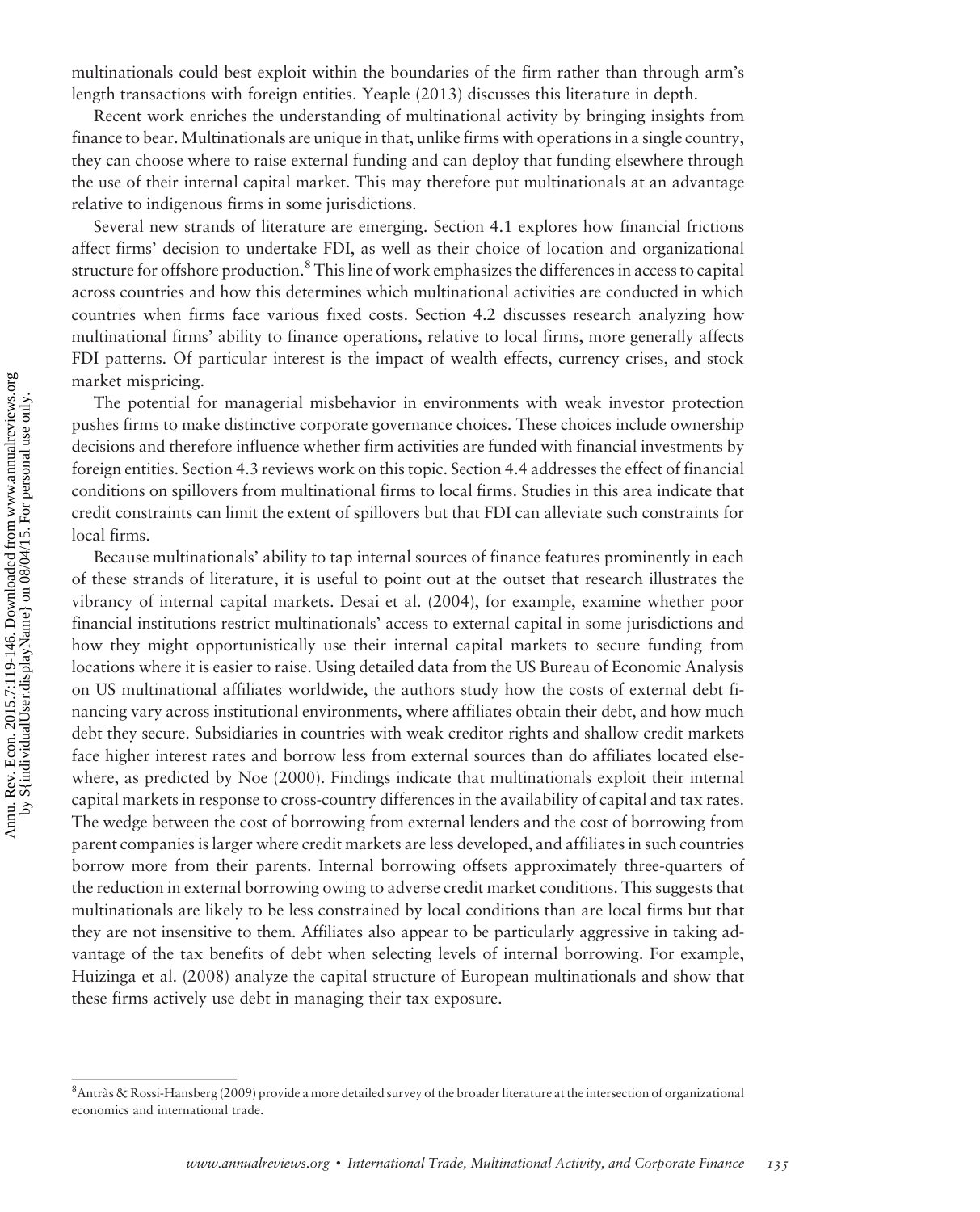multinationals could best exploit within the boundaries of the firm rather than through arm's length transactions with foreign entities. Yeaple (2013) discusses this literature in depth.

Recent work enriches the understanding of multinational activity by bringing insights from finance to bear. Multinationals are unique in that, unlike firms with operations in a single country, they can choose where to raise external funding and can deploy that funding elsewhere through the use of their internal capital market. This may therefore put multinationals at an advantage relative to indigenous firms in some jurisdictions.

Several new strands of literature are emerging. Section 4.1 explores how financial frictions affect firms' decision to undertake FDI, as well as their choice of location and organizational structure for offshore production.<sup>8</sup> This line of work emphasizes the differences in access to capital across countries and how this determines which multinational activities are conducted in which countries when firms face various fixed costs. Section 4.2 discusses research analyzing how multinational firms' ability to finance operations, relative to local firms, more generally affects FDI patterns. Of particular interest is the impact of wealth effects, currency crises, and stock market mispricing.

The potential for managerial misbehavior in environments with weak investor protection pushes firms to make distinctive corporate governance choices. These choices include ownership decisions and therefore influence whether firm activities are funded with financial investments by foreign entities. Section 4.3 reviews work on this topic. Section 4.4 addresses the effect of financial conditions on spillovers from multinational firms to local firms. Studies in this area indicate that credit constraints can limit the extent of spillovers but that FDI can alleviate such constraints for local firms.

Because multinationals' ability to tap internal sources of finance features prominently in each of these strands of literature, it is useful to point out at the outset that research illustrates the vibrancy of internal capital markets. Desai et al. (2004), for example, examine whether poor financial institutions restrict multinationals' access to external capital in some jurisdictions and how they might opportunistically use their internal capital markets to secure funding from locations where it is easier to raise. Using detailed data from the US Bureau of Economic Analysis on US multinational affiliates worldwide, the authors study how the costs of external debt financing vary across institutional environments, where affiliates obtain their debt, and how much debt they secure. Subsidiaries in countries with weak creditor rights and shallow credit markets face higher interest rates and borrow less from external sources than do affiliates located elsewhere, as predicted by Noe (2000). Findings indicate that multinationals exploit their internal capital markets in response to cross-country differences in the availability of capital and tax rates. The wedge between the cost of borrowing from external lenders and the cost of borrowing from parent companies is larger where credit markets are less developed, and affiliates in such countries borrow more from their parents. Internal borrowing offsets approximately three-quarters of the reduction in external borrowing owing to adverse credit market conditions. This suggests that multinationals are likely to be less constrained by local conditions than are local firms but that they are not insensitive to them. Affiliates also appear to be particularly aggressive in taking advantage of the tax benefits of debt when selecting levels of internal borrowing. For example, Huizinga et al. (2008) analyze the capital structure of European multinationals and show that these firms actively use debt in managing their tax exposure.

<sup>8</sup> Antràs & Rossi-Hansberg (2009) provide a more detailed survey of the broader literature at the intersection of organizational economics and international trade.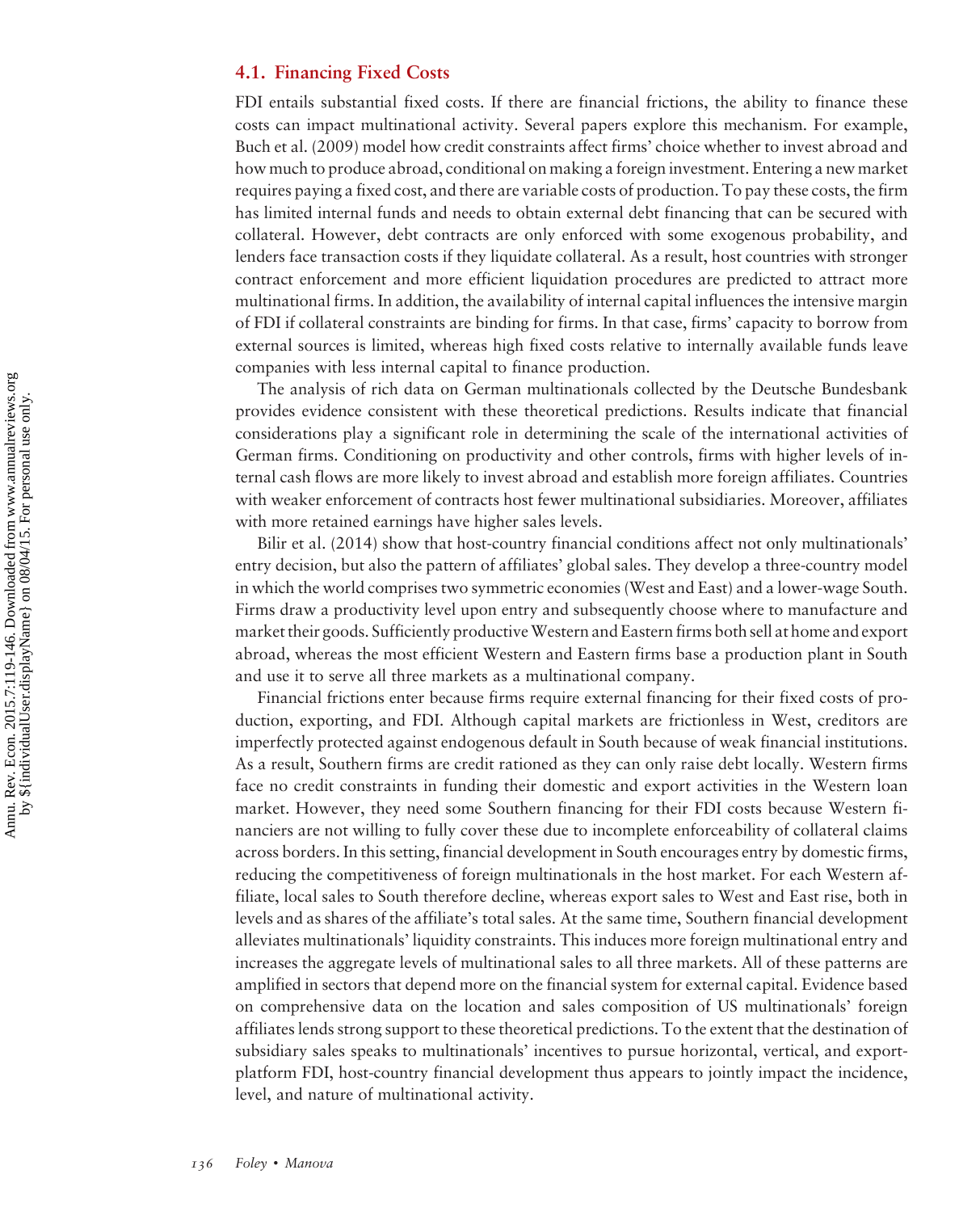#### 4.1. Financing Fixed Costs

FDI entails substantial fixed costs. If there are financial frictions, the ability to finance these costs can impact multinational activity. Several papers explore this mechanism. For example, Buch et al. (2009) model how credit constraints affect firms' choice whether to invest abroad and how much to produce abroad, conditional on making a foreign investment. Entering a new market requires paying a fixed cost, and there are variable costs of production. To pay these costs, the firm has limited internal funds and needs to obtain external debt financing that can be secured with collateral. However, debt contracts are only enforced with some exogenous probability, and lenders face transaction costs if they liquidate collateral. As a result, host countries with stronger contract enforcement and more efficient liquidation procedures are predicted to attract more multinational firms. In addition, the availability of internal capital influences the intensive margin of FDI if collateral constraints are binding for firms. In that case, firms' capacity to borrow from external sources is limited, whereas high fixed costs relative to internally available funds leave companies with less internal capital to finance production.

The analysis of rich data on German multinationals collected by the Deutsche Bundesbank provides evidence consistent with these theoretical predictions. Results indicate that financial considerations play a significant role in determining the scale of the international activities of German firms. Conditioning on productivity and other controls, firms with higher levels of internal cash flows are more likely to invest abroad and establish more foreign affiliates. Countries with weaker enforcement of contracts host fewer multinational subsidiaries. Moreover, affiliates with more retained earnings have higher sales levels.

Bilir et al. (2014) show that host-country financial conditions affect not only multinationals' entry decision, but also the pattern of affiliates' global sales. They develop a three-country model in which the world comprises two symmetric economies (West and East) and a lower-wage South. Firms draw a productivity level upon entry and subsequently choose where to manufacture and market their goods. Sufficiently productive Western and Eastern firms both sell at home and export abroad, whereas the most efficient Western and Eastern firms base a production plant in South and use it to serve all three markets as a multinational company.

Financial frictions enter because firms require external financing for their fixed costs of production, exporting, and FDI. Although capital markets are frictionless in West, creditors are imperfectly protected against endogenous default in South because of weak financial institutions. As a result, Southern firms are credit rationed as they can only raise debt locally. Western firms face no credit constraints in funding their domestic and export activities in the Western loan market. However, they need some Southern financing for their FDI costs because Western financiers are not willing to fully cover these due to incomplete enforceability of collateral claims across borders. In this setting, financial development in South encourages entry by domestic firms, reducing the competitiveness of foreign multinationals in the host market. For each Western affiliate, local sales to South therefore decline, whereas export sales to West and East rise, both in levels and as shares of the affiliate's total sales. At the same time, Southern financial development alleviates multinationals' liquidity constraints. This induces more foreign multinational entry and increases the aggregate levels of multinational sales to all three markets. All of these patterns are amplified in sectors that depend more on the financial system for external capital. Evidence based on comprehensive data on the location and sales composition of US multinationals' foreign affiliates lends strong support to these theoretical predictions. To the extent that the destination of subsidiary sales speaks to multinationals' incentives to pursue horizontal, vertical, and exportplatform FDI, host-country financial development thus appears to jointly impact the incidence, level, and nature of multinational activity.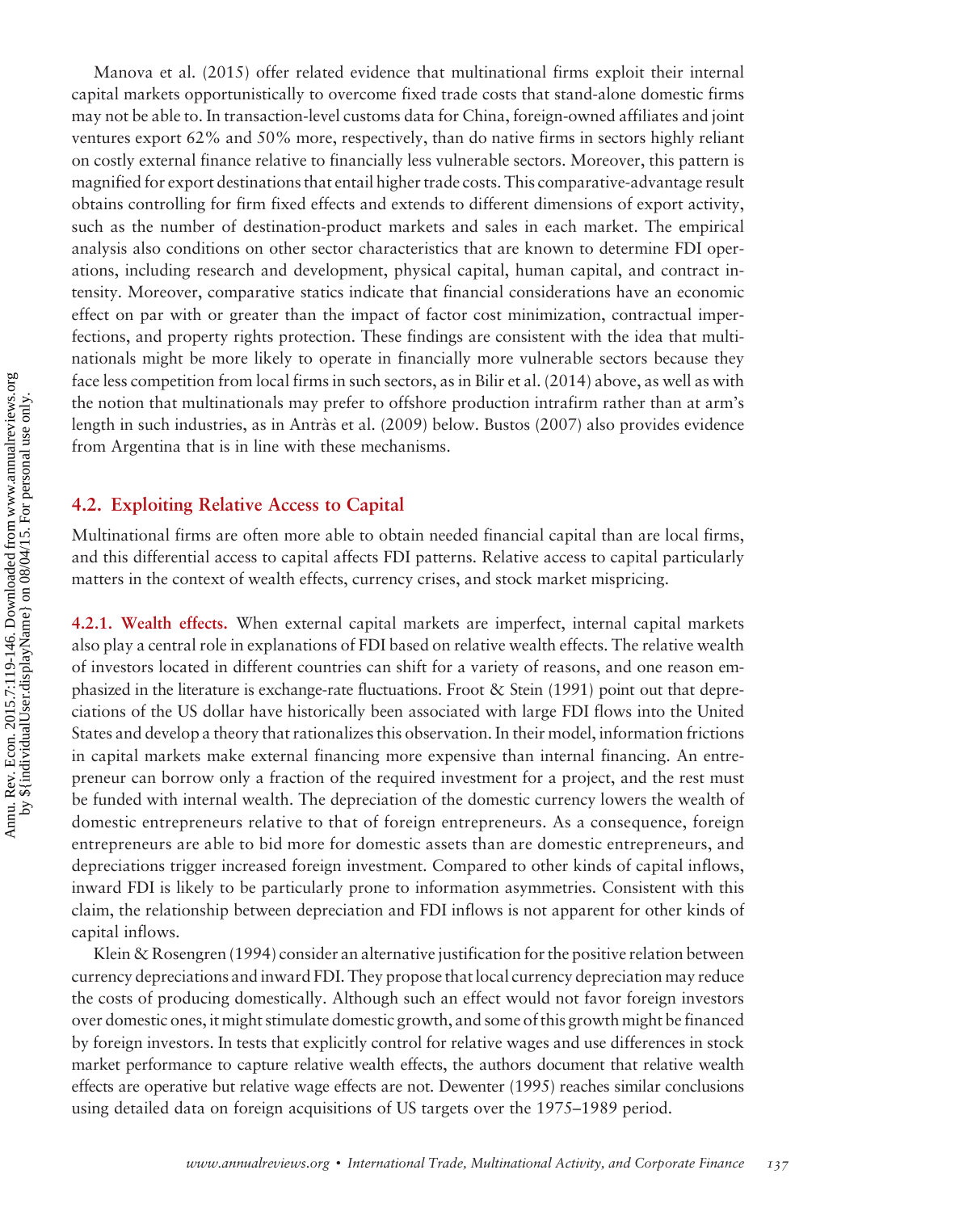Manova et al. (2015) offer related evidence that multinational firms exploit their internal capital markets opportunistically to overcome fixed trade costs that stand-alone domestic firms may not be able to. In transaction-level customs data for China, foreign-owned affiliates and joint ventures export 62% and 50% more, respectively, than do native firms in sectors highly reliant on costly external finance relative to financially less vulnerable sectors. Moreover, this pattern is magnified for export destinations that entail higher trade costs. This comparative-advantage result obtains controlling for firm fixed effects and extends to different dimensions of export activity, such as the number of destination-product markets and sales in each market. The empirical analysis also conditions on other sector characteristics that are known to determine FDI operations, including research and development, physical capital, human capital, and contract intensity. Moreover, comparative statics indicate that financial considerations have an economic effect on par with or greater than the impact of factor cost minimization, contractual imperfections, and property rights protection. These findings are consistent with the idea that multinationals might be more likely to operate in financially more vulnerable sectors because they face less competition from local firms in such sectors, as in Bilir et al. (2014) above, as well as with the notion that multinationals may prefer to offshore production intrafirm rather than at arm's length in such industries, as in Antràs et al. (2009) below. Bustos (2007) also provides evidence from Argentina that is in line with these mechanisms.

#### 4.2. Exploiting Relative Access to Capital

Multinational firms are often more able to obtain needed financial capital than are local firms, and this differential access to capital affects FDI patterns. Relative access to capital particularly matters in the context of wealth effects, currency crises, and stock market mispricing.

4.2.1. Wealth effects. When external capital markets are imperfect, internal capital markets also play a central role in explanations of FDI based on relative wealth effects. The relative wealth of investors located in different countries can shift for a variety of reasons, and one reason emphasized in the literature is exchange-rate fluctuations. Froot & Stein (1991) point out that depreciations of the US dollar have historically been associated with large FDI flows into the United States and develop a theory that rationalizes this observation. In their model, information frictions in capital markets make external financing more expensive than internal financing. An entrepreneur can borrow only a fraction of the required investment for a project, and the rest must be funded with internal wealth. The depreciation of the domestic currency lowers the wealth of domestic entrepreneurs relative to that of foreign entrepreneurs. As a consequence, foreign entrepreneurs are able to bid more for domestic assets than are domestic entrepreneurs, and depreciations trigger increased foreign investment. Compared to other kinds of capital inflows, inward FDI is likely to be particularly prone to information asymmetries. Consistent with this claim, the relationship between depreciation and FDI inflows is not apparent for other kinds of capital inflows.

Klein & Rosengren (1994) consider an alternative justification for the positive relation between currency depreciations and inward FDI. They propose that local currency depreciation may reduce the costs of producing domestically. Although such an effect would not favor foreign investors over domestic ones, it might stimulate domestic growth, and some of this growth might be financed by foreign investors. In tests that explicitly control for relative wages and use differences in stock market performance to capture relative wealth effects, the authors document that relative wealth effects are operative but relative wage effects are not. Dewenter (1995) reaches similar conclusions using detailed data on foreign acquisitions of US targets over the 1975–1989 period.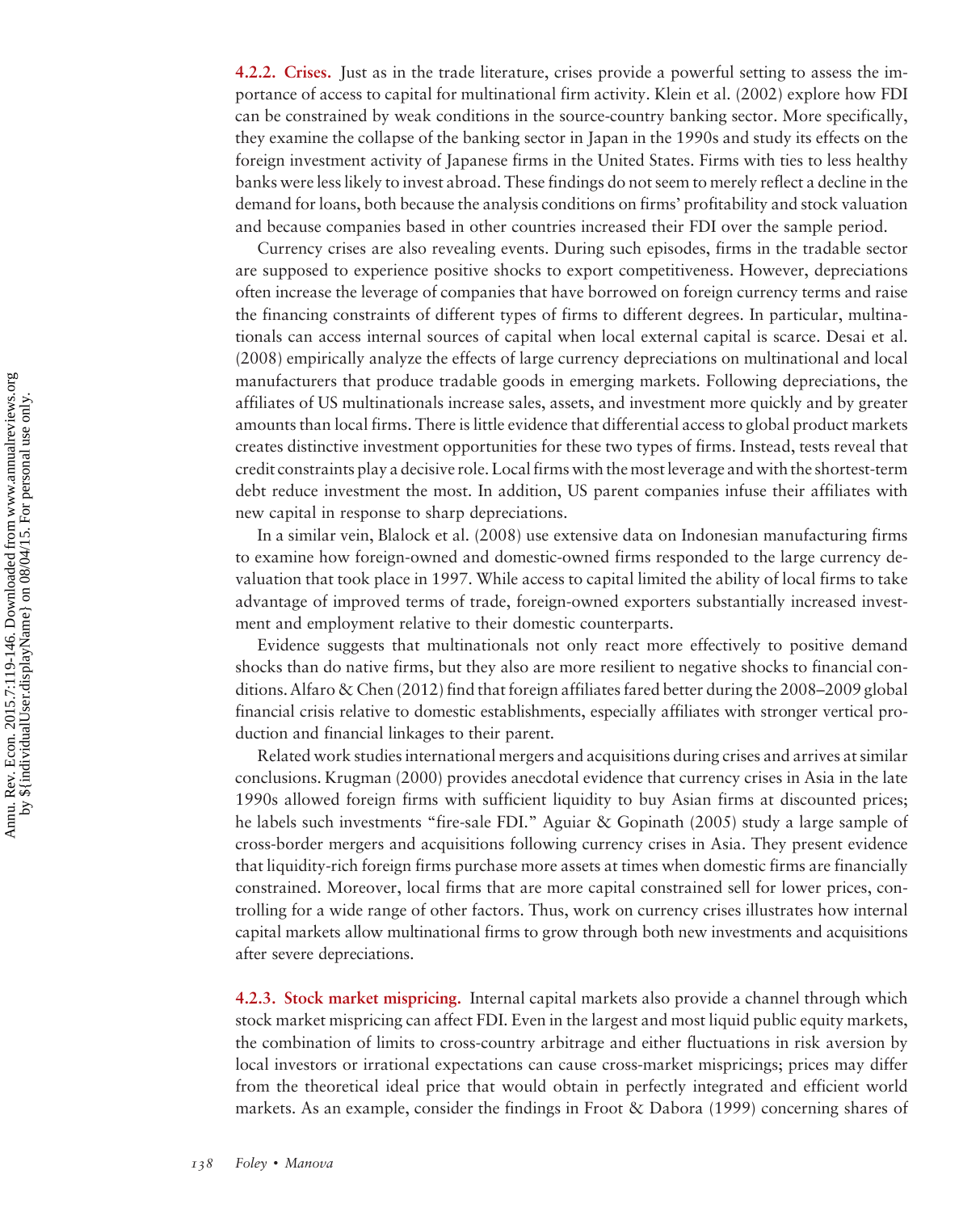4.2.2. Crises. Just as in the trade literature, crises provide a powerful setting to assess the importance of access to capital for multinational firm activity. Klein et al. (2002) explore how FDI can be constrained by weak conditions in the source-country banking sector. More specifically, they examine the collapse of the banking sector in Japan in the 1990s and study its effects on the foreign investment activity of Japanese firms in the United States. Firms with ties to less healthy banks were less likely to invest abroad. These findings do not seem to merely reflect a decline in the demand for loans, both because the analysis conditions on firms' profitability and stock valuation and because companies based in other countries increased their FDI over the sample period.

Currency crises are also revealing events. During such episodes, firms in the tradable sector are supposed to experience positive shocks to export competitiveness. However, depreciations often increase the leverage of companies that have borrowed on foreign currency terms and raise the financing constraints of different types of firms to different degrees. In particular, multinationals can access internal sources of capital when local external capital is scarce. Desai et al. (2008) empirically analyze the effects of large currency depreciations on multinational and local manufacturers that produce tradable goods in emerging markets. Following depreciations, the affiliates of US multinationals increase sales, assets, and investment more quickly and by greater amounts than local firms. There is little evidence that differential access to global product markets creates distinctive investment opportunities for these two types of firms. Instead, tests reveal that credit constraints play a decisive role. Local firms with the most leverage and with the shortest-term debt reduce investment the most. In addition, US parent companies infuse their affiliates with new capital in response to sharp depreciations.

In a similar vein, Blalock et al. (2008) use extensive data on Indonesian manufacturing firms to examine how foreign-owned and domestic-owned firms responded to the large currency devaluation that took place in 1997. While access to capital limited the ability of local firms to take advantage of improved terms of trade, foreign-owned exporters substantially increased investment and employment relative to their domestic counterparts.

Evidence suggests that multinationals not only react more effectively to positive demand shocks than do native firms, but they also are more resilient to negative shocks to financial conditions. Alfaro & Chen (2012) find that foreign affiliates fared better during the 2008–2009 global financial crisis relative to domestic establishments, especially affiliates with stronger vertical production and financial linkages to their parent.

Related work studies international mergers and acquisitions during crises and arrives at similar conclusions. Krugman (2000) provides anecdotal evidence that currency crises in Asia in the late 1990s allowed foreign firms with sufficient liquidity to buy Asian firms at discounted prices; he labels such investments "fire-sale FDI." Aguiar & Gopinath (2005) study a large sample of cross-border mergers and acquisitions following currency crises in Asia. They present evidence that liquidity-rich foreign firms purchase more assets at times when domestic firms are financially constrained. Moreover, local firms that are more capital constrained sell for lower prices, controlling for a wide range of other factors. Thus, work on currency crises illustrates how internal capital markets allow multinational firms to grow through both new investments and acquisitions after severe depreciations.

4.2.3. Stock market mispricing. Internal capital markets also provide a channel through which stock market mispricing can affect FDI. Even in the largest and most liquid public equity markets, the combination of limits to cross-country arbitrage and either fluctuations in risk aversion by local investors or irrational expectations can cause cross-market mispricings; prices may differ from the theoretical ideal price that would obtain in perfectly integrated and efficient world markets. As an example, consider the findings in Froot & Dabora (1999) concerning shares of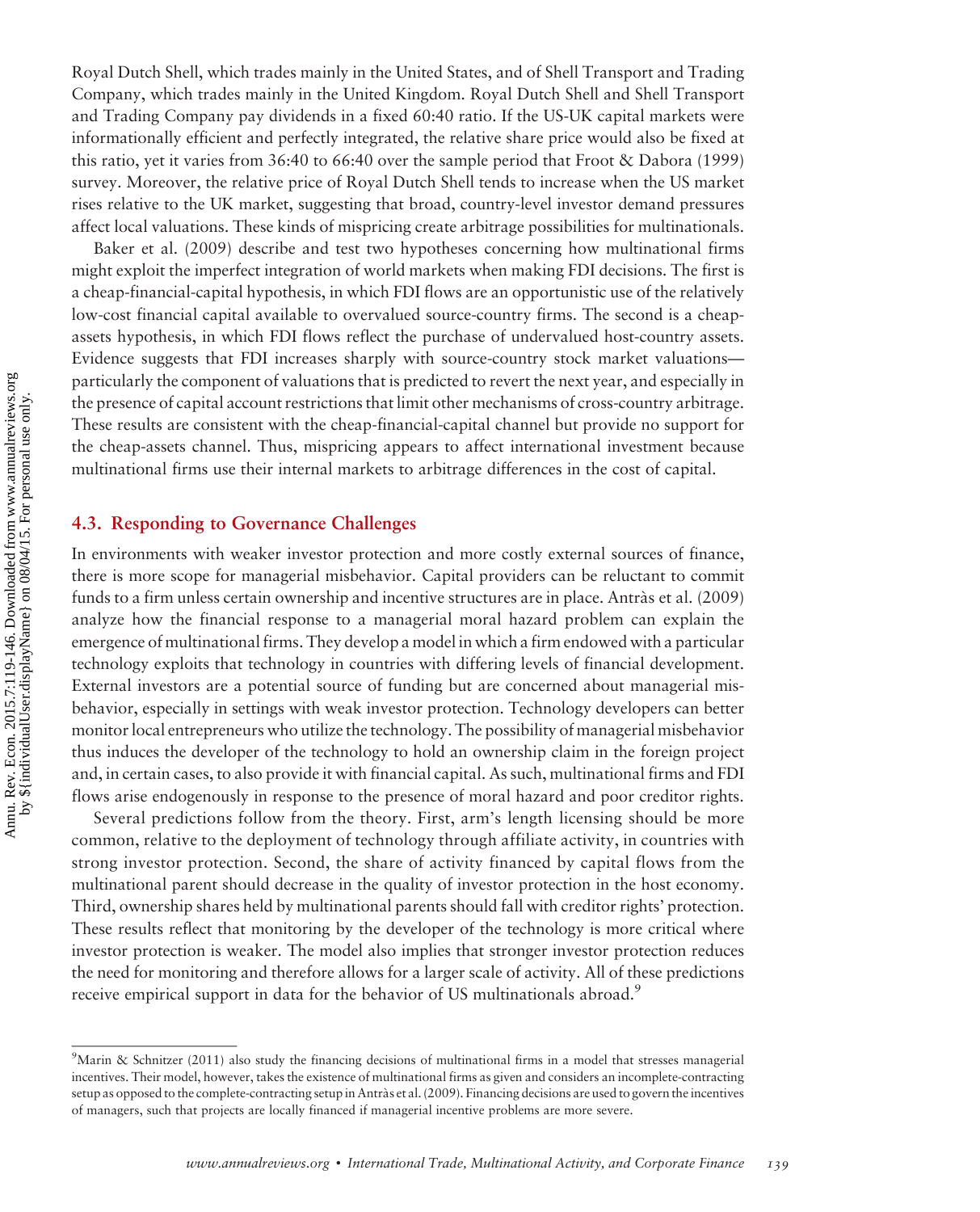Royal Dutch Shell, which trades mainly in the United States, and of Shell Transport and Trading Company, which trades mainly in the United Kingdom. Royal Dutch Shell and Shell Transport and Trading Company pay dividends in a fixed 60:40 ratio. If the US-UK capital markets were informationally efficient and perfectly integrated, the relative share price would also be fixed at this ratio, yet it varies from 36:40 to 66:40 over the sample period that Froot & Dabora (1999) survey. Moreover, the relative price of Royal Dutch Shell tends to increase when the US market rises relative to the UK market, suggesting that broad, country-level investor demand pressures affect local valuations. These kinds of mispricing create arbitrage possibilities for multinationals.

Baker et al. (2009) describe and test two hypotheses concerning how multinational firms might exploit the imperfect integration of world markets when making FDI decisions. The first is a cheap-financial-capital hypothesis, in which FDI flows are an opportunistic use of the relatively low-cost financial capital available to overvalued source-country firms. The second is a cheapassets hypothesis, in which FDI flows reflect the purchase of undervalued host-country assets. Evidence suggests that FDI increases sharply with source-country stock market valuations particularly the component of valuations that is predicted to revert the next year, and especially in the presence of capital account restrictions that limit other mechanisms of cross-country arbitrage. These results are consistent with the cheap-financial-capital channel but provide no support for the cheap-assets channel. Thus, mispricing appears to affect international investment because multinational firms use their internal markets to arbitrage differences in the cost of capital.

#### 4.3. Responding to Governance Challenges

In environments with weaker investor protection and more costly external sources of finance, there is more scope for managerial misbehavior. Capital providers can be reluctant to commit funds to a firm unless certain ownership and incentive structures are in place. Antràs et al. (2009) analyze how the financial response to a managerial moral hazard problem can explain the emergence of multinational firms. They develop a model in which a firm endowed with a particular technology exploits that technology in countries with differing levels of financial development. External investors are a potential source of funding but are concerned about managerial misbehavior, especially in settings with weak investor protection. Technology developers can better monitor local entrepreneurs who utilize the technology. The possibility of managerial misbehavior thus induces the developer of the technology to hold an ownership claim in the foreign project and, in certain cases, to also provide it with financial capital. As such, multinational firms and FDI flows arise endogenously in response to the presence of moral hazard and poor creditor rights.

Several predictions follow from the theory. First, arm's length licensing should be more common, relative to the deployment of technology through affiliate activity, in countries with strong investor protection. Second, the share of activity financed by capital flows from the multinational parent should decrease in the quality of investor protection in the host economy. Third, ownership shares held by multinational parents should fall with creditor rights' protection. These results reflect that monitoring by the developer of the technology is more critical where investor protection is weaker. The model also implies that stronger investor protection reduces the need for monitoring and therefore allows for a larger scale of activity. All of these predictions receive empirical support in data for the behavior of US multinationals abroad.<sup>9</sup>

<sup>9</sup> Marin & Schnitzer (2011) also study the financing decisions of multinational firms in a model that stresses managerial incentives. Their model, however, takes the existence of multinational firms as given and considers an incomplete-contracting setup as opposed to the complete-contracting setup in Antràs et al. (2009). Financing decisions are used to govern the incentives of managers, such that projects are locally financed if managerial incentive problems are more severe.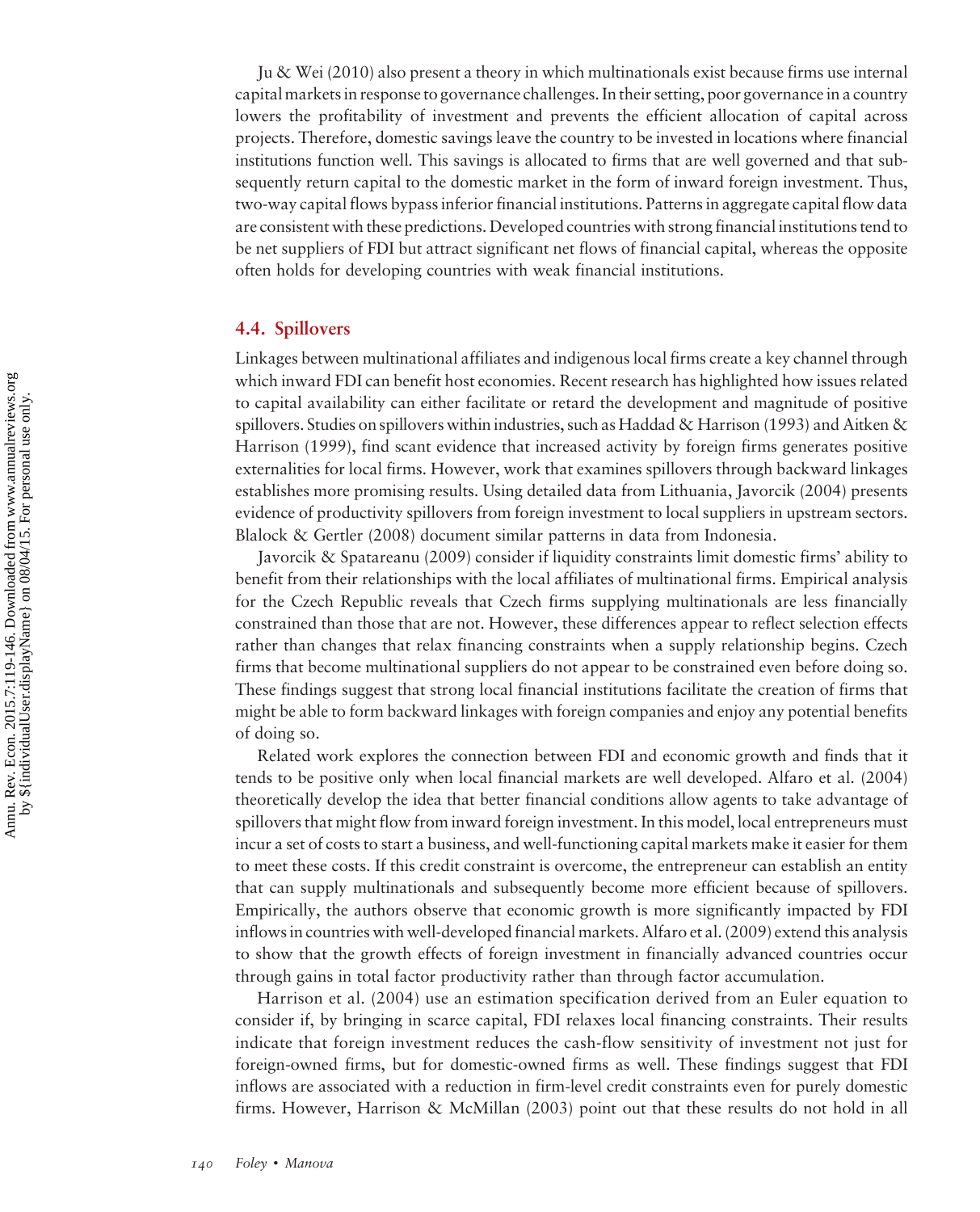Ju & Wei (2010) also present a theory in which multinationals exist because firms use internal capital markets in response to governance challenges. In their setting, poor governance in a country lowers the profitability of investment and prevents the efficient allocation of capital across projects. Therefore, domestic savings leave the country to be invested in locations where financial institutions function well. This savings is allocated to firms that are well governed and that subsequently return capital to the domestic market in the form of inward foreign investment. Thus, two-way capital flows bypass inferior financial institutions. Patterns in aggregate capital flow data are consistent with these predictions. Developed countries with strong financial institutions tend to be net suppliers of FDI but attract significant net flows of financial capital, whereas the opposite often holds for developing countries with weak financial institutions.

#### 4.4. Spillovers

Linkages between multinational affiliates and indigenous local firms create a key channel through which inward FDI can benefit host economies. Recent research has highlighted how issues related to capital availability can either facilitate or retard the development and magnitude of positive spillovers. Studies on spillovers within industries, such as Haddad & Harrison (1993) and Aitken & Harrison (1999), find scant evidence that increased activity by foreign firms generates positive externalities for local firms. However, work that examines spillovers through backward linkages establishes more promising results. Using detailed data from Lithuania, Javorcik (2004) presents evidence of productivity spillovers from foreign investment to local suppliers in upstream sectors. Blalock & Gertler (2008) document similar patterns in data from Indonesia.

Javorcik & Spatareanu (2009) consider if liquidity constraints limit domestic firms' ability to benefit from their relationships with the local affiliates of multinational firms. Empirical analysis for the Czech Republic reveals that Czech firms supplying multinationals are less financially constrained than those that are not. However, these differences appear to reflect selection effects rather than changes that relax financing constraints when a supply relationship begins. Czech firms that become multinational suppliers do not appear to be constrained even before doing so. These findings suggest that strong local financial institutions facilitate the creation of firms that might be able to form backward linkages with foreign companies and enjoy any potential benefits of doing so.

Related work explores the connection between FDI and economic growth and finds that it tends to be positive only when local financial markets are well developed. Alfaro et al. (2004) theoretically develop the idea that better financial conditions allow agents to take advantage of spillovers that might flow from inward foreign investment. In this model, local entrepreneurs must incur a set of costs to start a business, and well-functioning capital markets make it easier for them to meet these costs. If this credit constraint is overcome, the entrepreneur can establish an entity that can supply multinationals and subsequently become more efficient because of spillovers. Empirically, the authors observe that economic growth is more significantly impacted by FDI inflows in countries with well-developed financial markets. Alfaro et al. (2009) extend this analysis to show that the growth effects of foreign investment in financially advanced countries occur through gains in total factor productivity rather than through factor accumulation.

Harrison et al. (2004) use an estimation specification derived from an Euler equation to consider if, by bringing in scarce capital, FDI relaxes local financing constraints. Their results indicate that foreign investment reduces the cash-flow sensitivity of investment not just for foreign-owned firms, but for domestic-owned firms as well. These findings suggest that FDI inflows are associated with a reduction in firm-level credit constraints even for purely domestic firms. However, Harrison & McMillan (2003) point out that these results do not hold in all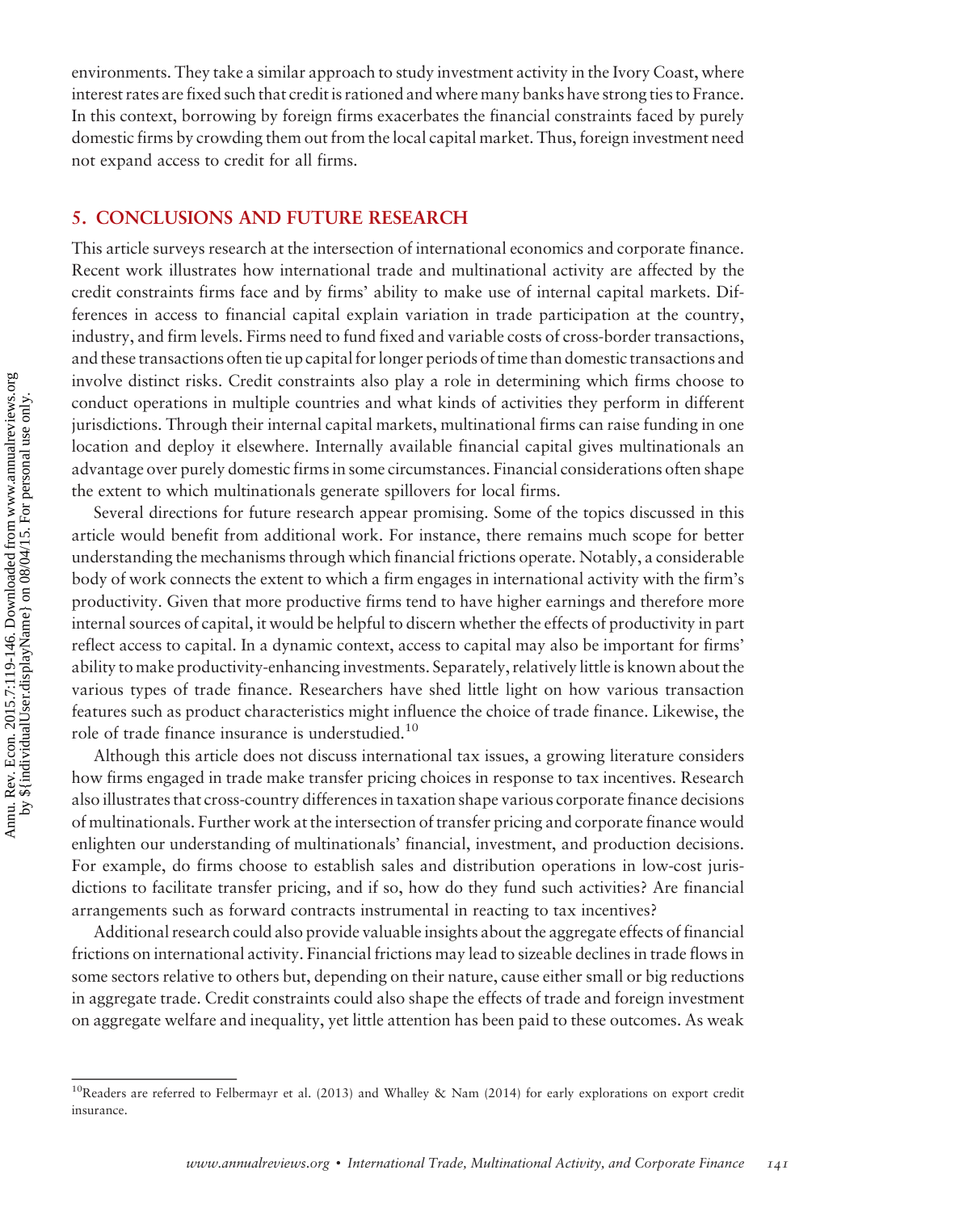environments. They take a similar approach to study investment activity in the Ivory Coast, where interest rates are fixed such that credit is rationed and where many banks have strong ties to France. In this context, borrowing by foreign firms exacerbates the financial constraints faced by purely domestic firms by crowding them out from the local capital market. Thus, foreign investment need not expand access to credit for all firms.

#### 5. CONCLUSIONS AND FUTURE RESEARCH

This article surveys research at the intersection of international economics and corporate finance. Recent work illustrates how international trade and multinational activity are affected by the credit constraints firms face and by firms' ability to make use of internal capital markets. Differences in access to financial capital explain variation in trade participation at the country, industry, and firm levels. Firms need to fund fixed and variable costs of cross-border transactions, and these transactions often tie up capital for longer periods of time than domestic transactions and involve distinct risks. Credit constraints also play a role in determining which firms choose to conduct operations in multiple countries and what kinds of activities they perform in different jurisdictions. Through their internal capital markets, multinational firms can raise funding in one location and deploy it elsewhere. Internally available financial capital gives multinationals an advantage over purely domestic firms in some circumstances. Financial considerations often shape the extent to which multinationals generate spillovers for local firms.

Several directions for future research appear promising. Some of the topics discussed in this article would benefit from additional work. For instance, there remains much scope for better understanding the mechanisms through which financial frictions operate. Notably, a considerable body of work connects the extent to which a firm engages in international activity with the firm's productivity. Given that more productive firms tend to have higher earnings and therefore more internal sources of capital, it would be helpful to discern whether the effects of productivity in part reflect access to capital. In a dynamic context, access to capital may also be important for firms' ability to make productivity-enhancing investments. Separately, relatively little is known about the various types of trade finance. Researchers have shed little light on how various transaction features such as product characteristics might influence the choice of trade finance. Likewise, the role of trade finance insurance is understudied.<sup>10</sup>

Although this article does not discuss international tax issues, a growing literature considers how firms engaged in trade make transfer pricing choices in response to tax incentives. Research also illustrates that cross-country differences in taxation shape various corporate finance decisions of multinationals. Further work at the intersection of transfer pricing and corporate finance would enlighten our understanding of multinationals' financial, investment, and production decisions. For example, do firms choose to establish sales and distribution operations in low-cost jurisdictions to facilitate transfer pricing, and if so, how do they fund such activities? Are financial arrangements such as forward contracts instrumental in reacting to tax incentives?

Additional research could also provide valuable insights about the aggregate effects of financial frictions on international activity. Financial frictions may lead to sizeable declines in trade flows in some sectors relative to others but, depending on their nature, cause either small or big reductions in aggregate trade. Credit constraints could also shape the effects of trade and foreign investment on aggregate welfare and inequality, yet little attention has been paid to these outcomes. As weak

 $10R$ eaders are referred to Felbermayr et al. (2013) and Whalley & Nam (2014) for early explorations on export credit insurance.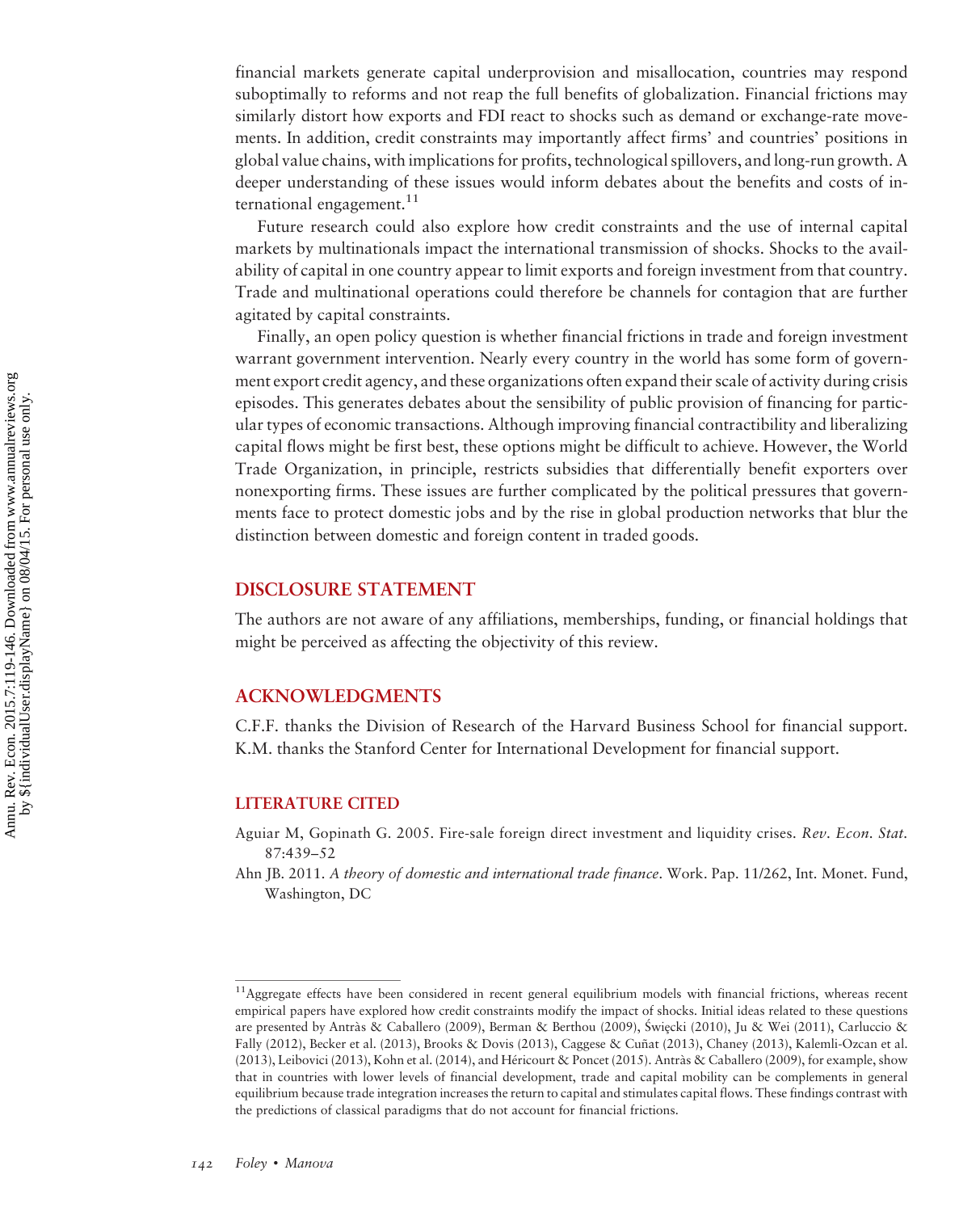financial markets generate capital underprovision and misallocation, countries may respond suboptimally to reforms and not reap the full benefits of globalization. Financial frictions may similarly distort how exports and FDI react to shocks such as demand or exchange-rate movements. In addition, credit constraints may importantly affect firms' and countries' positions in global value chains, with implications for profits, technological spillovers, and long-run growth. A deeper understanding of these issues would inform debates about the benefits and costs of international engagement.<sup>11</sup>

Future research could also explore how credit constraints and the use of internal capital markets by multinationals impact the international transmission of shocks. Shocks to the availability of capital in one country appear to limit exports and foreign investment from that country. Trade and multinational operations could therefore be channels for contagion that are further agitated by capital constraints.

Finally, an open policy question is whether financial frictions in trade and foreign investment warrant government intervention. Nearly every country in the world has some form of government export credit agency, and these organizations often expand their scale of activity during crisis episodes. This generates debates about the sensibility of public provision of financing for particular types of economic transactions. Although improving financial contractibility and liberalizing capital flows might be first best, these options might be difficult to achieve. However, the World Trade Organization, in principle, restricts subsidies that differentially benefit exporters over nonexporting firms. These issues are further complicated by the political pressures that governments face to protect domestic jobs and by the rise in global production networks that blur the distinction between domestic and foreign content in traded goods.

#### DISCLOSURE STATEMENT

The authors are not aware of any affiliations, memberships, funding, or financial holdings that might be perceived as affecting the objectivity of this review.

#### ACKNOWLEDGMENTS

C.F.F. thanks the Division of Research of the Harvard Business School for financial support. K.M. thanks the Stanford Center for International Development for financial support.

#### LITERATURE CITED

Aguiar M, Gopinath G. 2005. Fire-sale foreign direct investment and liquidity crises. Rev. Econ. Stat. 87:439–52

Ahn JB. 2011. A theory of domestic and international trade finance. Work. Pap. 11/262, Int. Monet. Fund, Washington, DC

<sup>&</sup>lt;sup>11</sup>Aggregate effects have been considered in recent general equilibrium models with financial frictions, whereas recent empirical papers have explored how credit constraints modify the impact of shocks. Initial ideas related to these questions are presented by Antràs & Caballero (2009), Berman & Berthou (2009), Swie¸cki (2010), Ju & Wei (2011), Carluccio & Fally (2012), Becker et al. (2013), Brooks & Dovis (2013), Caggese & Cuñat (2013), Chaney (2013), Kalemli-Ozcan et al. (2013), Leibovici (2013), Kohn et al. (2014), and Héricourt & Poncet (2015). Antràs & Caballero (2009), for example, show that in countries with lower levels of financial development, trade and capital mobility can be complements in general equilibrium because trade integration increases the return to capital and stimulates capital flows. These findings contrast with the predictions of classical paradigms that do not account for financial frictions.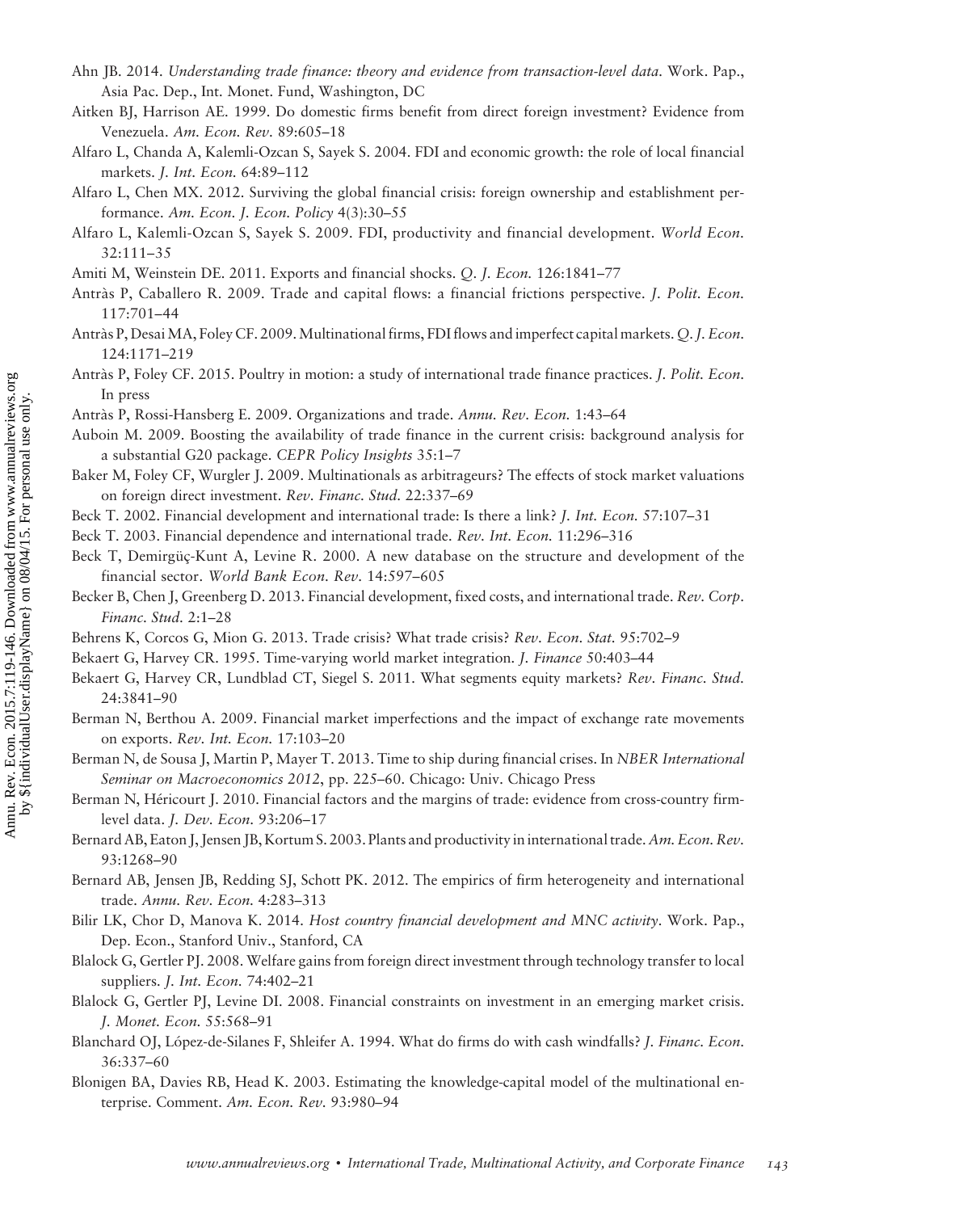- Ahn JB. 2014. Understanding trade finance: theory and evidence from transaction-level data. Work. Pap., Asia Pac. Dep., Int. Monet. Fund, Washington, DC
- Aitken BJ, Harrison AE. 1999. Do domestic firms benefit from direct foreign investment? Evidence from Venezuela. Am. Econ. Rev. 89:605–18
- Alfaro L, Chanda A, Kalemli-Ozcan S, Sayek S. 2004. FDI and economic growth: the role of local financial markets. J. Int. Econ. 64:89–112
- Alfaro L, Chen MX. 2012. Surviving the global financial crisis: foreign ownership and establishment performance. Am. Econ. J. Econ. Policy 4(3):30–55
- Alfaro L, Kalemli-Ozcan S, Sayek S. 2009. FDI, productivity and financial development. World Econ. 32:111–35
- Amiti M, Weinstein DE. 2011. Exports and financial shocks. Q. J. Econ. 126:1841–77
- Antràs P, Caballero R. 2009. Trade and capital flows: a financial frictions perspective. J. Polit. Econ. 117:701–44
- Antràs P, DesaiMA, Foley CF. 2009.Multinational firms, FDI flows and imperfect capital markets. Q. J. Econ. 124:1171–219
- Antràs P, Foley CF. 2015. Poultry in motion: a study of international trade finance practices. *J. Polit. Econ.* In press
- Antràs P, Rossi-Hansberg E. 2009. Organizations and trade. Annu. Rev. Econ. 1:43–64
- Auboin M. 2009. Boosting the availability of trade finance in the current crisis: background analysis for a substantial G20 package. CEPR Policy Insights 35:1–7
- Baker M, Foley CF, Wurgler J. 2009. Multinationals as arbitrageurs? The effects of stock market valuations on foreign direct investment. Rev. Financ. Stud. 22:337–69
- Beck T. 2002. Financial development and international trade: Is there a link? J. Int. Econ. 57:107–31
- Beck T. 2003. Financial dependence and international trade. Rev. Int. Econ. 11:296–316
- Beck T, Demirgüç-Kunt A, Levine R. 2000. A new database on the structure and development of the financial sector. World Bank Econ. Rev. 14:597–605
- Becker B, Chen J, Greenberg D. 2013. Financial development, fixed costs, and international trade. Rev. Corp. Financ. Stud. 2:1–28
- Behrens K, Corcos G, Mion G. 2013. Trade crisis? What trade crisis? Rev. Econ. Stat. 95:702–9
- Bekaert G, Harvey CR. 1995. Time-varying world market integration. J. Finance 50:403–44
- Bekaert G, Harvey CR, Lundblad CT, Siegel S. 2011. What segments equity markets? Rev. Financ. Stud. 24:3841–90
- Berman N, Berthou A. 2009. Financial market imperfections and the impact of exchange rate movements on exports. Rev. Int. Econ. 17:103–20
- Berman N, de Sousa J, Martin P, Mayer T. 2013. Time to ship during financial crises. In NBER International Seminar on Macroeconomics 2012, pp. 225–60. Chicago: Univ. Chicago Press
- Berman N, Héricourt J. 2010. Financial factors and the margins of trade: evidence from cross-country firmlevel data. J. Dev. Econ. 93:206–17
- Bernard AB, Eaton J, Jensen JB, Kortum S. 2003. Plants and productivity in international trade. Am. Econ. Rev. 93:1268–90
- Bernard AB, Jensen JB, Redding SJ, Schott PK. 2012. The empirics of firm heterogeneity and international trade. Annu. Rev. Econ. 4:283–313
- Bilir LK, Chor D, Manova K. 2014. Host country financial development and MNC activity. Work. Pap., Dep. Econ., Stanford Univ., Stanford, CA
- Blalock G, Gertler PJ. 2008. Welfare gains from foreign direct investment through technology transfer to local suppliers. *J. Int. Econ.* 74:402-21
- Blalock G, Gertler PJ, Levine DI. 2008. Financial constraints on investment in an emerging market crisis. J. Monet. Econ. 55:568–91
- Blanchard OJ, López-de-Silanes F, Shleifer A. 1994. What do firms do with cash windfalls? J. Financ. Econ. 36:337–60
- Blonigen BA, Davies RB, Head K. 2003. Estimating the knowledge-capital model of the multinational enterprise. Comment. Am. Econ. Rev. 93:980–94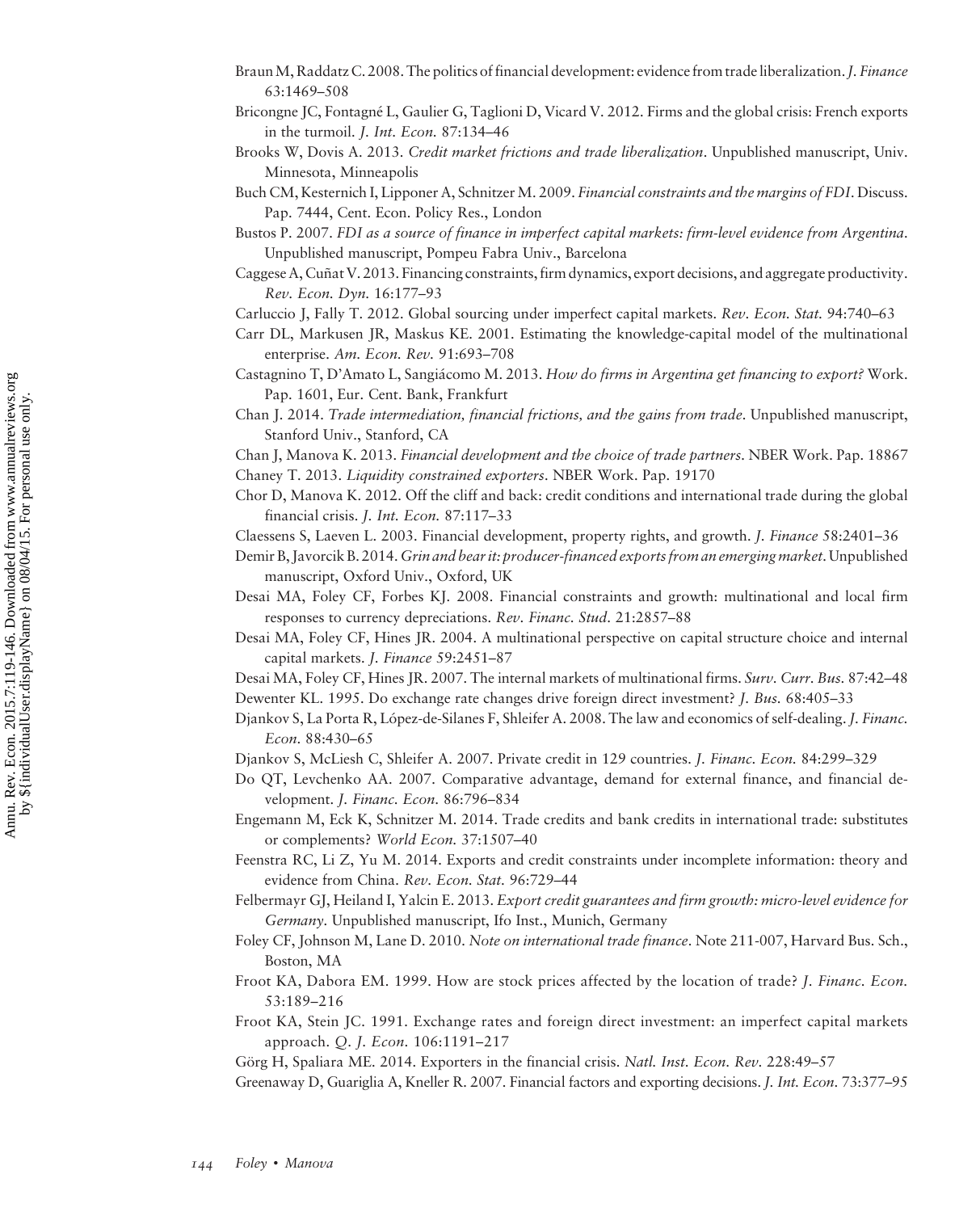- Braun M, Raddatz C. 2008. The politics of financial development: evidence from trade liberalization. J. Finance 63:1469–508
- Bricongne JC, Fontagné L, Gaulier G, Taglioni D, Vicard V. 2012. Firms and the global crisis: French exports in the turmoil. J. Int. Econ. 87:134–46

Brooks W, Dovis A. 2013. Credit market frictions and trade liberalization. Unpublished manuscript, Univ. Minnesota, Minneapolis

Buch CM, Kesternich I, Lipponer A, Schnitzer M. 2009. Financial constraints and the margins of FDI. Discuss. Pap. 7444, Cent. Econ. Policy Res., London

Bustos P. 2007. FDI as a source of finance in imperfect capital markets: firm-level evidence from Argentina. Unpublished manuscript, Pompeu Fabra Univ., Barcelona

Caggese A, Cuñat V. 2013. Financing constraints, firm dynamics, export decisions, and aggregate productivity. Rev. Econ. Dyn. 16:177–93

- Carluccio J, Fally T. 2012. Global sourcing under imperfect capital markets. Rev. Econ. Stat. 94:740–63
- Carr DL, Markusen JR, Maskus KE. 2001. Estimating the knowledge-capital model of the multinational enterprise. Am. Econ. Rev. 91:693–708
- Castagnino T, D'Amato L, Sangiácomo M. 2013. How do firms in Argentina get financing to export? Work. Pap. 1601, Eur. Cent. Bank, Frankfurt
- Chan J. 2014. Trade intermediation, financial frictions, and the gains from trade. Unpublished manuscript, Stanford Univ., Stanford, CA

Chan J, Manova K. 2013. Financial development and the choice of trade partners. NBER Work. Pap. 18867 Chaney T. 2013. Liquidity constrained exporters. NBER Work. Pap. 19170

Chor D, Manova K. 2012. Off the cliff and back: credit conditions and international trade during the global financial crisis. J. Int. Econ. 87:117–33

Claessens S, Laeven L. 2003. Financial development, property rights, and growth. J. Finance 58:2401–36

Demir B, Javorcik B. 2014. Grin and bear it: producer-financed exports from an emerging market. Unpublished manuscript, Oxford Univ., Oxford, UK

- Desai MA, Foley CF, Forbes KJ. 2008. Financial constraints and growth: multinational and local firm responses to currency depreciations. Rev. Financ. Stud. 21:2857–88
- Desai MA, Foley CF, Hines JR. 2004. A multinational perspective on capital structure choice and internal capital markets. J. Finance 59:2451–87
- Desai MA, Foley CF, Hines JR. 2007. The internal markets of multinational firms. Surv. Curr. Bus. 87:42–48

Dewenter KL. 1995. Do exchange rate changes drive foreign direct investment? J. Bus. 68:405–33

- Djankov S, La Porta R, López-de-Silanes F, Shleifer A. 2008. The law and economics of self-dealing. J. Financ. Econ. 88:430–65
- Djankov S, McLiesh C, Shleifer A. 2007. Private credit in 129 countries. J. Financ. Econ. 84:299–329
- Do QT, Levchenko AA. 2007. Comparative advantage, demand for external finance, and financial development. J. Financ. Econ. 86:796–834
- Engemann M, Eck K, Schnitzer M. 2014. Trade credits and bank credits in international trade: substitutes or complements? World Econ. 37:1507–40
- Feenstra RC, Li Z, Yu M. 2014. Exports and credit constraints under incomplete information: theory and evidence from China. Rev. Econ. Stat. 96:729–44
- Felbermayr GJ, Heiland I, Yalcin E. 2013. Export credit guarantees and firm growth: micro-level evidence for Germany. Unpublished manuscript, Ifo Inst., Munich, Germany

Foley CF, Johnson M, Lane D. 2010. Note on international trade finance. Note 211-007, Harvard Bus. Sch., Boston, MA

- Froot KA, Dabora EM. 1999. How are stock prices affected by the location of trade? *J. Financ. Econ.* 53:189–216
- Froot KA, Stein JC. 1991. Exchange rates and foreign direct investment: an imperfect capital markets approach. Q. J. Econ. 106:1191–217

Görg H, Spaliara ME. 2014. Exporters in the financial crisis. Natl. Inst. Econ. Rev. 228:49-57

Greenaway D, Guariglia A, Kneller R. 2007. Financial factors and exporting decisions. J. Int. Econ. 73:377–95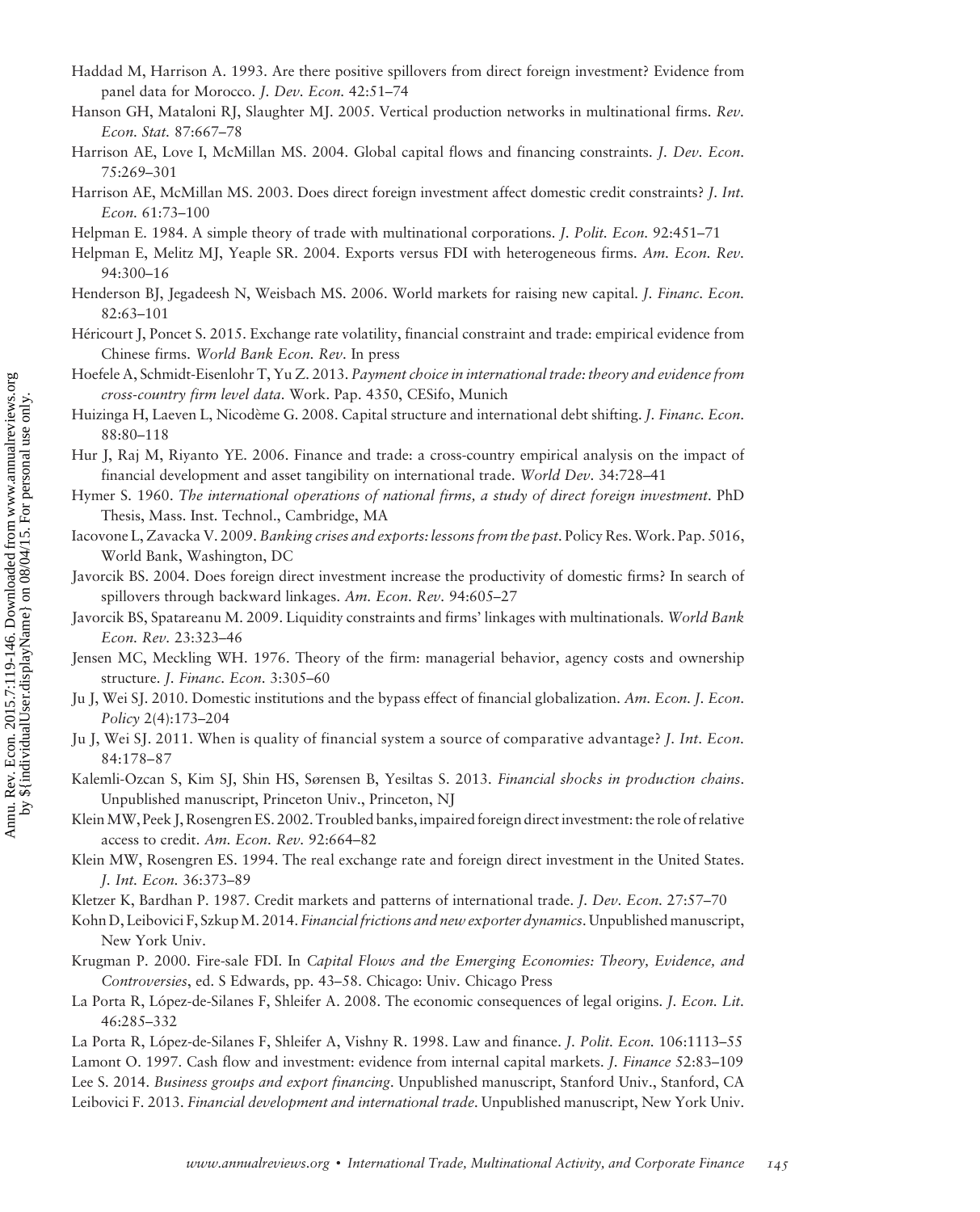Amu. Rev. Econ. 2015.7:119-146. Downloaded from www.annualreviews.org<br>by \${individualUser.displayName} on 08/04/15. For personal use only. Annu. Rev. Econ. 2015.7:119-146. Downloaded from www.annualreviews.org by \${individualUser.displayName} on 08/04/15. For personal use only.

- Haddad M, Harrison A. 1993. Are there positive spillovers from direct foreign investment? Evidence from panel data for Morocco. J. Dev. Econ. 42:51–74
- Hanson GH, Mataloni RJ, Slaughter MJ. 2005. Vertical production networks in multinational firms. Rev. Econ. Stat. 87:667–78
- Harrison AE, Love I, McMillan MS. 2004. Global capital flows and financing constraints. J. Dev. Econ. 75:269–301
- Harrison AE, McMillan MS. 2003. Does direct foreign investment affect domestic credit constraints? J. Int. Econ. 61:73–100
- Helpman E. 1984. A simple theory of trade with multinational corporations. J. Polit. Econ. 92:451–71
- Helpman E, Melitz MJ, Yeaple SR. 2004. Exports versus FDI with heterogeneous firms. Am. Econ. Rev. 94:300–16
- Henderson BJ, Jegadeesh N, Weisbach MS. 2006. World markets for raising new capital. *J. Financ. Econ.* 82:63–101
- Héricourt J, Poncet S. 2015. Exchange rate volatility, financial constraint and trade: empirical evidence from Chinese firms. World Bank Econ. Rev. In press
- Hoefele A, Schmidt-Eisenlohr T, Yu Z. 2013. Payment choice in international trade: theory and evidence from cross-country firm level data. Work. Pap. 4350, CESifo, Munich
- Huizinga H, Laeven L, Nicodème G. 2008. Capital structure and international debt shifting. J. Financ. Econ. 88:80–118
- Hur J, Raj M, Riyanto YE. 2006. Finance and trade: a cross-country empirical analysis on the impact of financial development and asset tangibility on international trade. World Dev. 34:728–41
- Hymer S. 1960. The international operations of national firms, a study of direct foreign investment. PhD Thesis, Mass. Inst. Technol., Cambridge, MA
- Iacovone L, Zavacka V. 2009. Banking crises and exports: lessons from the past. Policy Res. Work. Pap. 5016, World Bank, Washington, DC
- Javorcik BS. 2004. Does foreign direct investment increase the productivity of domestic firms? In search of spillovers through backward linkages. Am. Econ. Rev. 94:605–27
- Javorcik BS, Spatareanu M. 2009. Liquidity constraints and firms' linkages with multinationals. World Bank Econ. Rev. 23:323–46
- Jensen MC, Meckling WH. 1976. Theory of the firm: managerial behavior, agency costs and ownership structure. J. Financ. Econ. 3:305–60
- Ju J, Wei SJ. 2010. Domestic institutions and the bypass effect of financial globalization. Am. Econ. J. Econ. Policy 2(4):173–204
- Ju J, Wei SJ. 2011. When is quality of financial system a source of comparative advantage? J. Int. Econ. 84:178–87
- Kalemli-Ozcan S, Kim SJ, Shin HS, Sørensen B, Yesiltas S. 2013. Financial shocks in production chains. Unpublished manuscript, Princeton Univ., Princeton, NJ
- KleinMW, Peek J, Rosengren ES. 2002. Troubled banks, impaired foreign direct investment: the role of relative access to credit. Am. Econ. Rev. 92:664–82
- Klein MW, Rosengren ES. 1994. The real exchange rate and foreign direct investment in the United States. J. Int. Econ. 36:373–89
- Kletzer K, Bardhan P. 1987. Credit markets and patterns of international trade. J. Dev. Econ. 27:57–70
- Kohn D, Leibovici F, Szkup M. 2014. Financial frictions and new exporter dynamics. Unpublished manuscript, New York Univ.
- Krugman P. 2000. Fire-sale FDI. In Capital Flows and the Emerging Economies: Theory, Evidence, and Controversies, ed. S Edwards, pp. 43–58. Chicago: Univ. Chicago Press
- La Porta R, López-de-Silanes F, Shleifer A. 2008. The economic consequences of legal origins. J. Econ. Lit. 46:285–332
- La Porta R, López-de-Silanes F, Shleifer A, Vishny R. 1998. Law and finance. J. Polit. Econ. 106:1113–55 Lamont O. 1997. Cash flow and investment: evidence from internal capital markets. J. Finance 52:83–109 Lee S. 2014. Business groups and export financing. Unpublished manuscript, Stanford Univ., Stanford, CA Leibovici F. 2013. Financial development and international trade. Unpublished manuscript, New York Univ.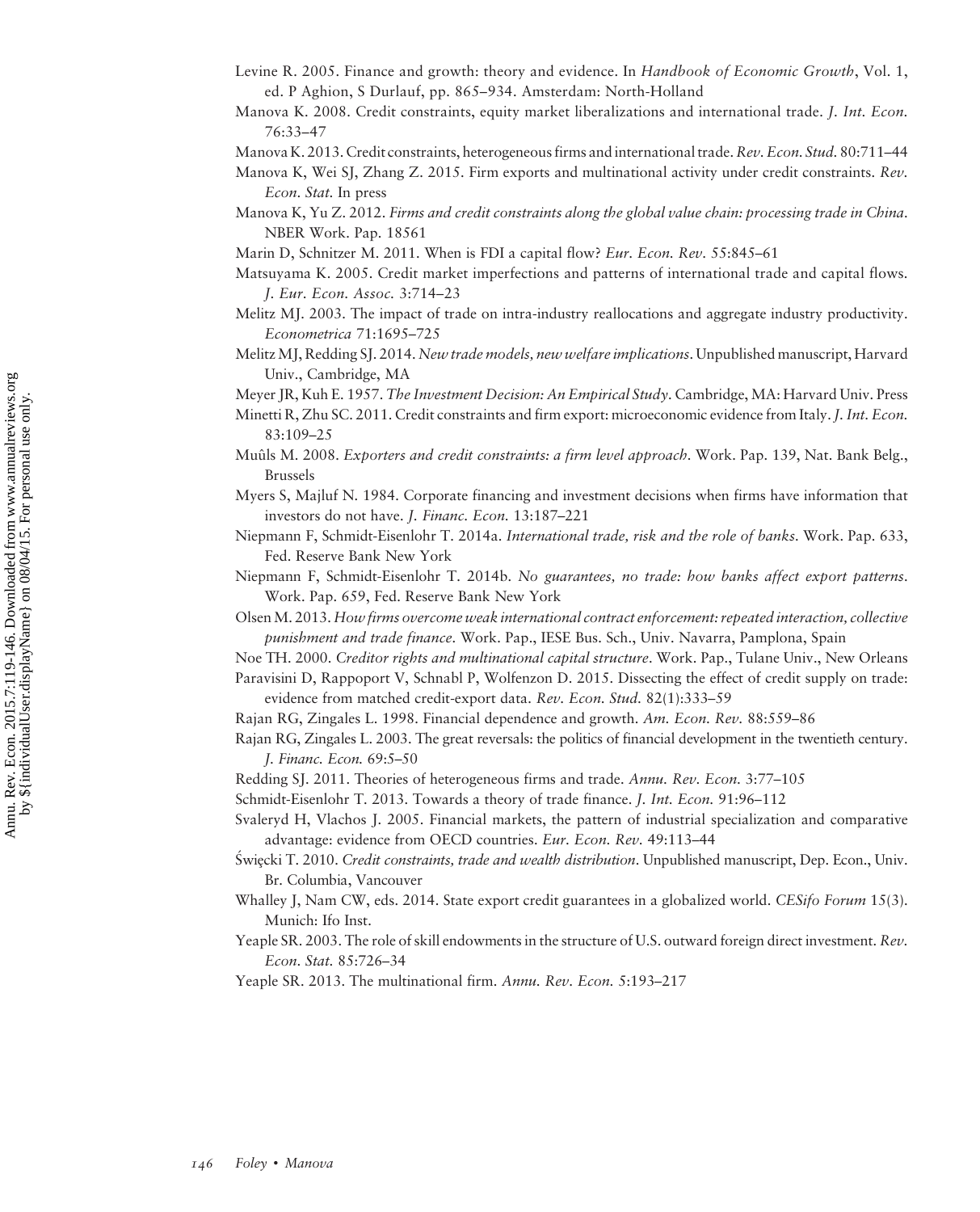- Levine R. 2005. Finance and growth: theory and evidence. In Handbook of Economic Growth, Vol. 1, ed. P Aghion, S Durlauf, pp. 865–934. Amsterdam: North-Holland
- Manova K. 2008. Credit constraints, equity market liberalizations and international trade. J. Int. Econ. 76:33–47

Manova K. 2013. Credit constraints, heterogeneous firms and international trade. Rev. Econ. Stud. 80:711–44

- Manova K, Wei SJ, Zhang Z. 2015. Firm exports and multinational activity under credit constraints. Rev. Econ. Stat. In press
- Manova K, Yu Z. 2012. Firms and credit constraints along the global value chain: processing trade in China. NBER Work. Pap. 18561
- Marin D, Schnitzer M. 2011. When is FDI a capital flow? Eur. Econ. Rev. 55:845-61
- Matsuyama K. 2005. Credit market imperfections and patterns of international trade and capital flows. J. Eur. Econ. Assoc. 3:714–23
- Melitz MJ. 2003. The impact of trade on intra-industry reallocations and aggregate industry productivity. Econometrica 71:1695–725

Melitz MJ, Redding SJ. 2014. New trade models, new welfare implications. Unpublished manuscript, Harvard Univ., Cambridge, MA

Meyer JR, Kuh E. 1957. The Investment Decision: An Empirical Study. Cambridge, MA: Harvard Univ. Press

- Minetti R, Zhu SC. 2011. Credit constraints and firm export: microeconomic evidence from Italy. J. Int. Econ. 83:109–25
- Muûls M. 2008. Exporters and credit constraints: a firm level approach. Work. Pap. 139, Nat. Bank Belg., Brussels
- Myers S, Majluf N. 1984. Corporate financing and investment decisions when firms have information that investors do not have. J. Financ. Econ. 13:187–221
- Niepmann F, Schmidt-Eisenlohr T. 2014a. International trade, risk and the role of banks. Work. Pap. 633, Fed. Reserve Bank New York
- Niepmann F, Schmidt-Eisenlohr T. 2014b. No guarantees, no trade: how banks affect export patterns. Work. Pap. 659, Fed. Reserve Bank New York
- OlsenM. 2013. How firms overcome weak international contract enforcement: repeated interaction, collective punishment and trade finance. Work. Pap., IESE Bus. Sch., Univ. Navarra, Pamplona, Spain
- Noe TH. 2000. Creditor rights and multinational capital structure. Work. Pap., Tulane Univ., New Orleans
- Paravisini D, Rappoport V, Schnabl P, Wolfenzon D. 2015. Dissecting the effect of credit supply on trade: evidence from matched credit-export data. Rev. Econ. Stud. 82(1):333–59
- Rajan RG, Zingales L. 1998. Financial dependence and growth. Am. Econ. Rev. 88:559–86

Rajan RG, Zingales L. 2003. The great reversals: the politics of financial development in the twentieth century. J. Financ. Econ. 69:5–50

- Redding SJ. 2011. Theories of heterogeneous firms and trade. Annu. Rev. Econ. 3:77–105
- Schmidt-Eisenlohr T. 2013. Towards a theory of trade finance. J. Int. Econ. 91:96–112
- Svaleryd H, Vlachos J. 2005. Financial markets, the pattern of industrial specialization and comparative advantage: evidence from OECD countries. Eur. Econ. Rev. 49:113–44
- Swiecki T. 2010. Credit constraints, trade and wealth distribution. Unpublished manuscript, Dep. Econ., Univ. Br. Columbia, Vancouver
- Whalley J, Nam CW, eds. 2014. State export credit guarantees in a globalized world. CESifo Forum 15(3). Munich: Ifo Inst.
- Yeaple SR. 2003. The role of skill endowments in the structure of U.S. outward foreign direct investment. Rev. Econ. Stat. 85:726–34

Yeaple SR. 2013. The multinational firm. Annu. Rev. Econ. 5:193–217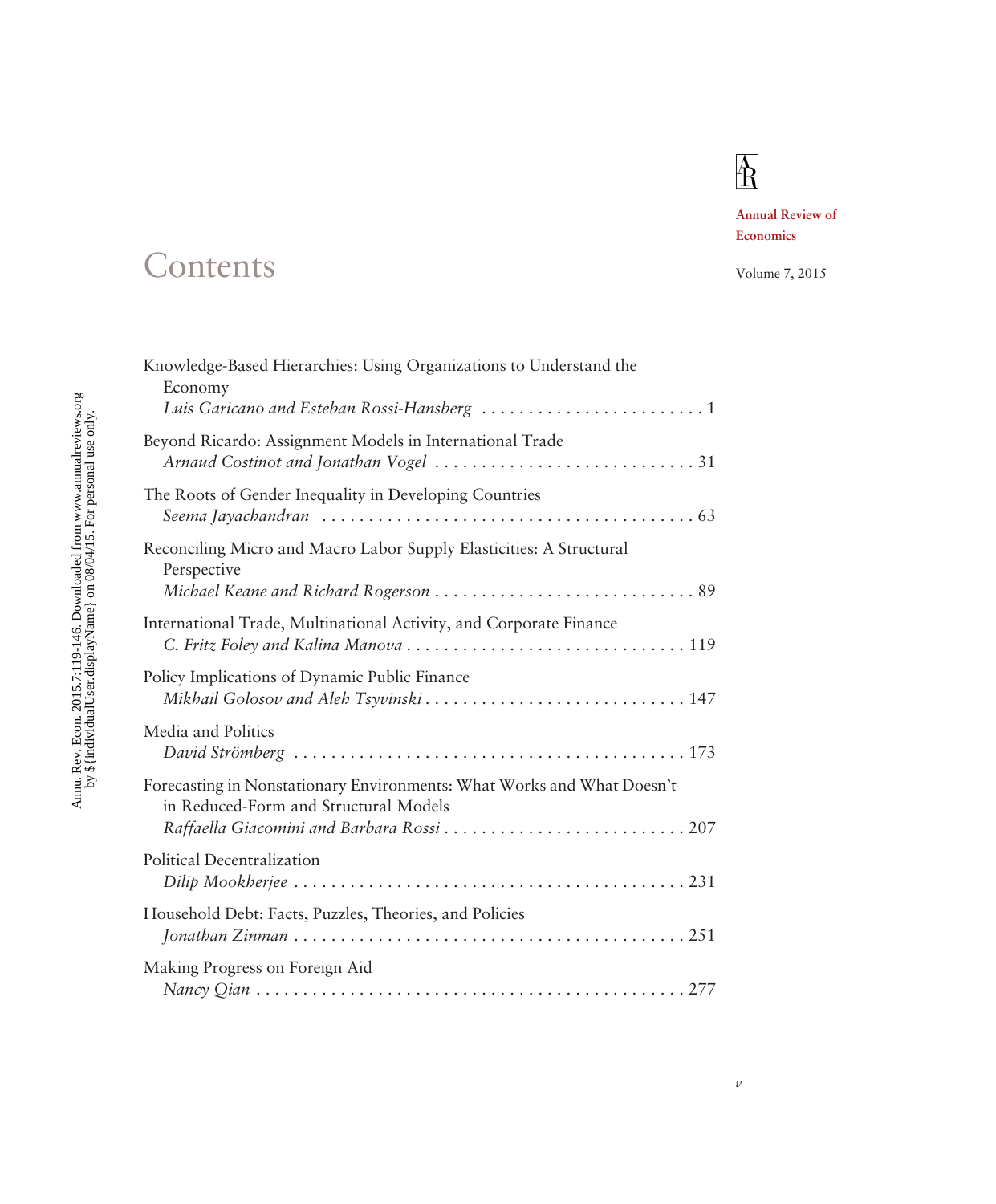Annual Review of Economics

# Annu. Rev. Econ. 2015.7:119-146. Downloaded from www.annualreviews.org<br>by \${individualUser.displayName} on 08/04/15. For personal use only. Annu. Rev. Econ. 2015.7:119-146. Downloaded from www.annualreviews.org by \${individualUser.displayName} on 08/04/15. For personal use only.

# Contents Volume 7, 2015

| Knowledge-Based Hierarchies: Using Organizations to Understand the<br>Economy                                   |
|-----------------------------------------------------------------------------------------------------------------|
| Beyond Ricardo: Assignment Models in International Trade                                                        |
| The Roots of Gender Inequality in Developing Countries                                                          |
| Reconciling Micro and Macro Labor Supply Elasticities: A Structural<br>Perspective                              |
| International Trade, Multinational Activity, and Corporate Finance                                              |
| Policy Implications of Dynamic Public Finance<br>Mikhail Golosov and Aleh Tsyvinski 147                         |
| Media and Politics                                                                                              |
| Forecasting in Nonstationary Environments: What Works and What Doesn't<br>in Reduced-Form and Structural Models |
| Political Decentralization                                                                                      |
| Household Debt: Facts, Puzzles, Theories, and Policies                                                          |
| Making Progress on Foreign Aid                                                                                  |